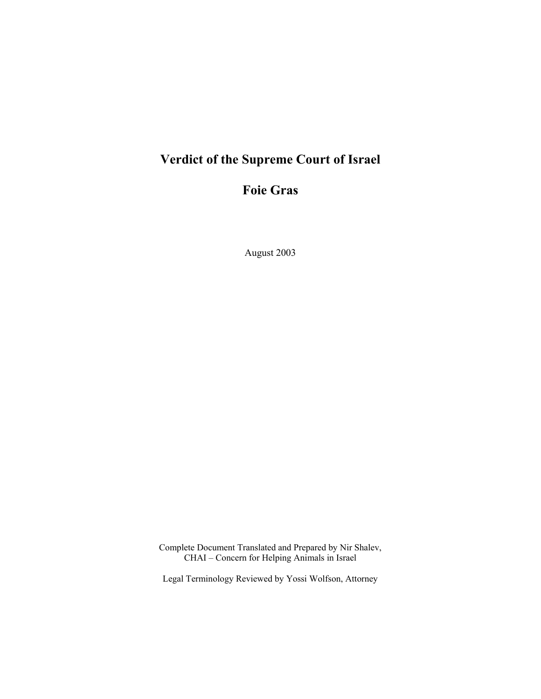# **Verdict of the Supreme Court of Israel**

## **Foie Gras**

August 2003

Complete Document Translated and Prepared by Nir Shalev, CHAI – Concern for Helping Animals in Israel

Legal Terminology Reviewed by Yossi Wolfson, Attorney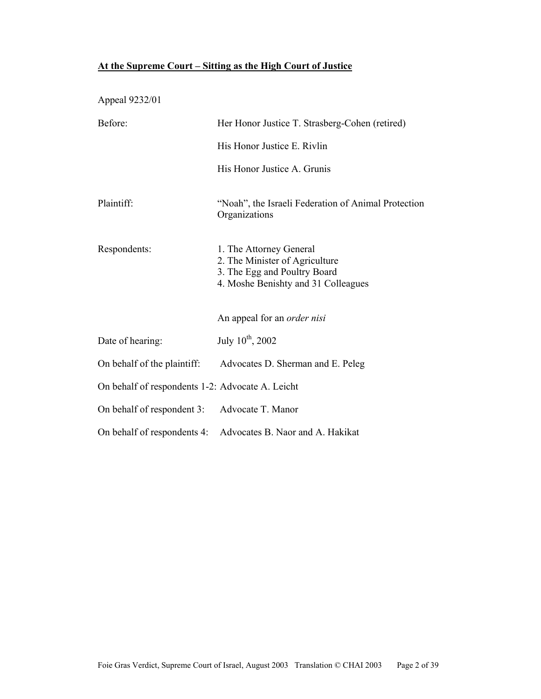## **At the Supreme Court – Sitting as the High Court of Justice**

Appeal 9232/01 Before: Her Honor Justice T. Strasberg-Cohen (retired) His Honor Justice E. Rivlin His Honor Justice A. Grunis

Plaintiff: "Noah", the Israeli Federation of Animal Protection Organizations

| Respondents: | 1. The Attorney General             |
|--------------|-------------------------------------|
|              | 2. The Minister of Agriculture      |
|              | 3. The Egg and Poultry Board        |
|              | 4. Moshe Benishty and 31 Colleagues |

An appeal for an *order nisi* 

| Date of hearing:                                 | July 10 <sup>th</sup> , 2002                                  |
|--------------------------------------------------|---------------------------------------------------------------|
|                                                  | On behalf of the plaintiff: Advocates D. Sherman and E. Peleg |
| On behalf of respondents 1-2: Advocate A. Leicht |                                                               |
| On behalf of respondent 3: Advocate T. Manor     |                                                               |

On behalf of respondents 4: Advocates B. Naor and A. Hakikat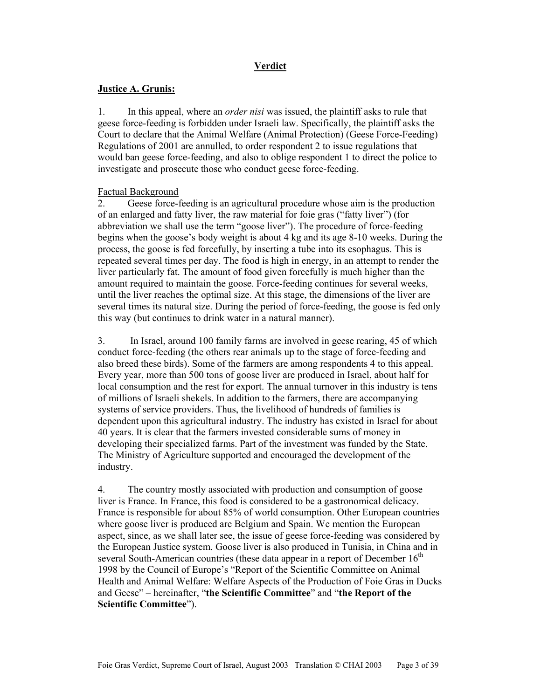## **Verdict**

#### **Justice A. Grunis:**

1. In this appeal, where an *order nisi* was issued, the plaintiff asks to rule that geese force-feeding is forbidden under Israeli law. Specifically, the plaintiff asks the Court to declare that the Animal Welfare (Animal Protection) (Geese Force-Feeding) Regulations of 2001 are annulled, to order respondent 2 to issue regulations that would ban geese force-feeding, and also to oblige respondent 1 to direct the police to investigate and prosecute those who conduct geese force-feeding.

## Factual Background

2. Geese force-feeding is an agricultural procedure whose aim is the production of an enlarged and fatty liver, the raw material for foie gras ("fatty liver") (for abbreviation we shall use the term "goose liver"). The procedure of force-feeding begins when the goose's body weight is about 4 kg and its age 8-10 weeks. During the process, the goose is fed forcefully, by inserting a tube into its esophagus. This is repeated several times per day. The food is high in energy, in an attempt to render the liver particularly fat. The amount of food given forcefully is much higher than the amount required to maintain the goose. Force-feeding continues for several weeks, until the liver reaches the optimal size. At this stage, the dimensions of the liver are several times its natural size. During the period of force-feeding, the goose is fed only this way (but continues to drink water in a natural manner).

3. In Israel, around 100 family farms are involved in geese rearing, 45 of which conduct force-feeding (the others rear animals up to the stage of force-feeding and also breed these birds). Some of the farmers are among respondents 4 to this appeal. Every year, more than 500 tons of goose liver are produced in Israel, about half for local consumption and the rest for export. The annual turnover in this industry is tens of millions of Israeli shekels. In addition to the farmers, there are accompanying systems of service providers. Thus, the livelihood of hundreds of families is dependent upon this agricultural industry. The industry has existed in Israel for about 40 years. It is clear that the farmers invested considerable sums of money in developing their specialized farms. Part of the investment was funded by the State. The Ministry of Agriculture supported and encouraged the development of the industry.

4. The country mostly associated with production and consumption of goose liver is France. In France, this food is considered to be a gastronomical delicacy. France is responsible for about 85% of world consumption. Other European countries where goose liver is produced are Belgium and Spain. We mention the European aspect, since, as we shall later see, the issue of geese force-feeding was considered by the European Justice system. Goose liver is also produced in Tunisia, in China and in several South-American countries (these data appear in a report of December  $16<sup>th</sup>$ 1998 by the Council of Europe's "Report of the Scientific Committee on Animal Health and Animal Welfare: Welfare Aspects of the Production of Foie Gras in Ducks and Geese" – hereinafter, "**the Scientific Committee**" and "**the Report of the Scientific Committee**").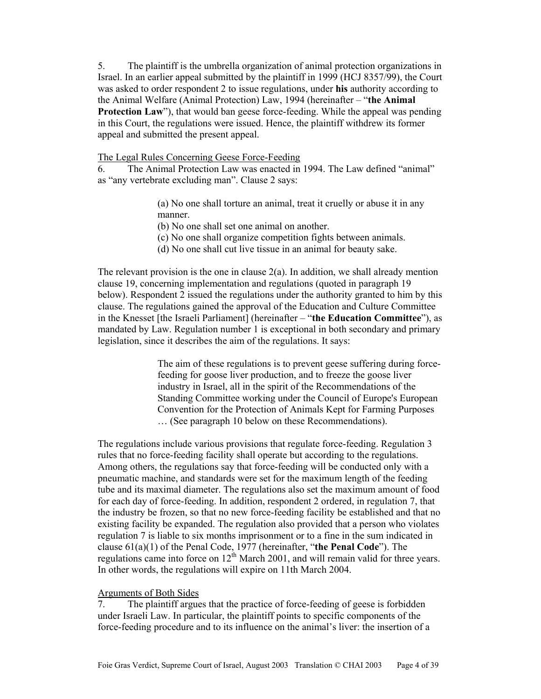5. The plaintiff is the umbrella organization of animal protection organizations in Israel. In an earlier appeal submitted by the plaintiff in 1999 (HCJ 8357/99), the Court was asked to order respondent 2 to issue regulations, under **his** authority according to the Animal Welfare (Animal Protection) Law, 1994 (hereinafter – "**the Animal Protection Law**"), that would ban geese force-feeding. While the appeal was pending in this Court, the regulations were issued. Hence, the plaintiff withdrew its former appeal and submitted the present appeal.

## The Legal Rules Concerning Geese Force-Feeding

6. The Animal Protection Law was enacted in 1994. The Law defined "animal" as "any vertebrate excluding man". Clause 2 says:

> (a) No one shall torture an animal, treat it cruelly or abuse it in any manner.

(b) No one shall set one animal on another.

- (c) No one shall organize competition fights between animals.
- (d) No one shall cut live tissue in an animal for beauty sake.

The relevant provision is the one in clause  $2(a)$ . In addition, we shall already mention clause 19, concerning implementation and regulations (quoted in paragraph 19 below). Respondent 2 issued the regulations under the authority granted to him by this clause. The regulations gained the approval of the Education and Culture Committee in the Knesset [the Israeli Parliament] (hereinafter – "**the Education Committee**"), as mandated by Law. Regulation number 1 is exceptional in both secondary and primary legislation, since it describes the aim of the regulations. It says:

> The aim of these regulations is to prevent geese suffering during forcefeeding for goose liver production, and to freeze the goose liver industry in Israel, all in the spirit of the Recommendations of the Standing Committee working under the Council of Europe's European Convention for the Protection of Animals Kept for Farming Purposes … (See paragraph 10 below on these Recommendations).

The regulations include various provisions that regulate force-feeding. Regulation 3 rules that no force-feeding facility shall operate but according to the regulations. Among others, the regulations say that force-feeding will be conducted only with a pneumatic machine, and standards were set for the maximum length of the feeding tube and its maximal diameter. The regulations also set the maximum amount of food for each day of force-feeding. In addition, respondent 2 ordered, in regulation 7, that the industry be frozen, so that no new force-feeding facility be established and that no existing facility be expanded. The regulation also provided that a person who violates regulation 7 is liable to six months imprisonment or to a fine in the sum indicated in clause 61(a)(1) of the Penal Code, 1977 (hereinafter, "**the Penal Code**"). The regulations came into force on  $12<sup>th</sup>$  March 2001, and will remain valid for three years. In other words, the regulations will expire on 11th March 2004.

#### Arguments of Both Sides

7. The plaintiff argues that the practice of force-feeding of geese is forbidden under Israeli Law. In particular, the plaintiff points to specific components of the force-feeding procedure and to its influence on the animal's liver: the insertion of a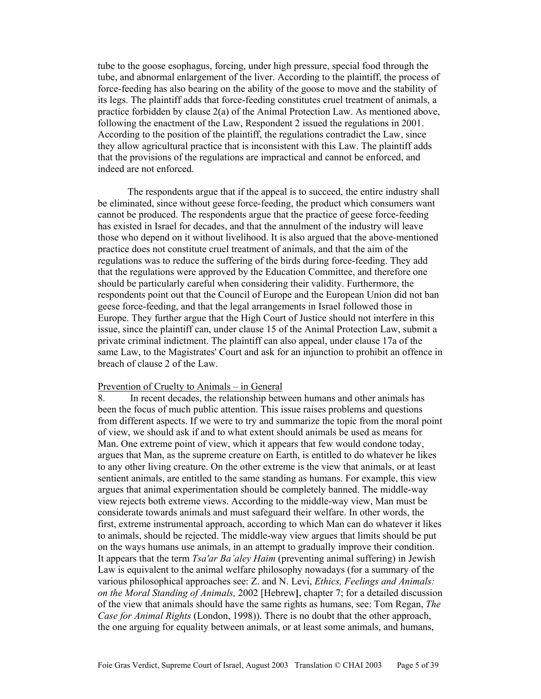tube to the goose esophagus, forcing, under high pressure, special food through the tube, and abnormal enlargement of the liver. According to the plaintiff, the process of force-feeding has also bearing on the ability of the goose to move and the stability of its legs. The plaintiff adds that force-feeding constitutes cruel treatment of animals, a practice forbidden by clause 2(a) of the Animal Protection Law. As mentioned above, following the enactment of the Law, Respondent 2 issued the regulations in 2001. According to the position of the plaintiff, the regulations contradict the Law, since they allow agricultural practice that is inconsistent with this Law. The plaintiff adds that the provisions of the regulations are impractical and cannot be enforced, and indeed are not enforced.

 The respondents argue that if the appeal is to succeed, the entire industry shall be eliminated, since without geese force-feeding, the product which consumers want cannot be produced. The respondents argue that the practice of geese force-feeding has existed in Israel for decades, and that the annulment of the industry will leave those who depend on it without livelihood. It is also argued that the above-mentioned practice does not constitute cruel treatment of animals, and that the aim of the regulations was to reduce the suffering of the birds during force-feeding. They add that the regulations were approved by the Education Committee, and therefore one should be particularly careful when considering their validity. Furthermore, the respondents point out that the Council of Europe and the European Union did not ban geese force-feeding, and that the legal arrangements in Israel followed those in Europe. They further argue that the High Court of Justice should not interfere in this issue, since the plaintiff can, under clause 15 of the Animal Protection Law, submit a private criminal indictment. The plaintiff can also appeal, under clause 17a of the same Law, to the Magistrates' Court and ask for an injunction to prohibit an offence in breach of clause 2 of the Law.

#### Prevention of Cruelty to Animals – in General

8. In recent decades, the relationship between humans and other animals has been the focus of much public attention. This issue raises problems and questions from different aspects. If we were to try and summarize the topic from the moral point of view, we should ask if and to what extent should animals be used as means for Man. One extreme point of view, which it appears that few would condone today, argues that Man, as the supreme creature on Earth, is entitled to do whatever he likes to any other living creature. On the other extreme is the view that animals, or at least sentient animals, are entitled to the same standing as humans. For example, this view argues that animal experimentation should be completely banned. The middle-way view rejects both extreme views. According to the middle-way view, Man must be considerate towards animals and must safeguard their welfare. In other words, the first, extreme instrumental approach, according to which Man can do whatever it likes to animals, should be rejected. The middle-way view argues that limits should be put on the ways humans use animals, in an attempt to gradually improve their condition. It appears that the term *Tsa'ar Ba'aley Haim* (preventing animal suffering) in Jewish Law is equivalent to the animal welfare philosophy nowadays (for a summary of the various philosophical approaches see: Z. and N. Levi, *Ethics, Feelings and Animals: on the Moral Standing of Animals,* 2002 [Hebrew**]**, chapter 7; for a detailed discussion of the view that animals should have the same rights as humans, see: Tom Regan, *The Case for Animal Rights* (London, 1998)). There is no doubt that the other approach, the one arguing for equality between animals, or at least some animals, and humans,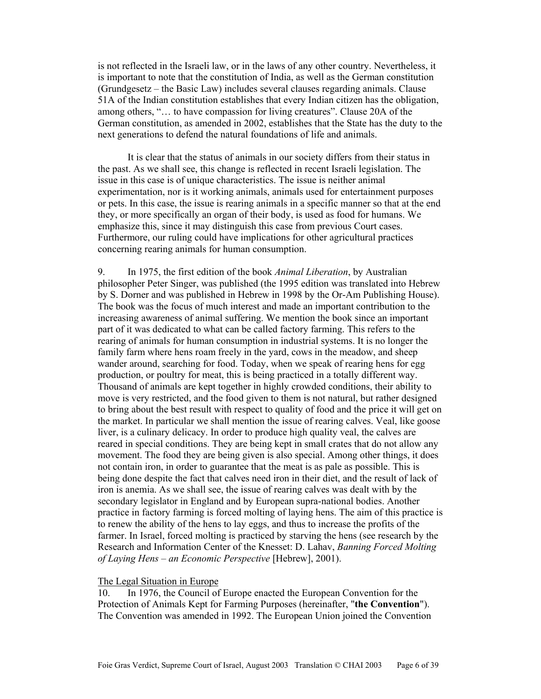is not reflected in the Israeli law, or in the laws of any other country. Nevertheless, it is important to note that the constitution of India, as well as the German constitution (Grundgesetz – the Basic Law) includes several clauses regarding animals. Clause 51A of the Indian constitution establishes that every Indian citizen has the obligation, among others, "… to have compassion for living creatures". Clause 20A of the German constitution, as amended in 2002, establishes that the State has the duty to the next generations to defend the natural foundations of life and animals.

 It is clear that the status of animals in our society differs from their status in the past. As we shall see, this change is reflected in recent Israeli legislation. The issue in this case is of unique characteristics. The issue is neither animal experimentation, nor is it working animals, animals used for entertainment purposes or pets. In this case, the issue is rearing animals in a specific manner so that at the end they, or more specifically an organ of their body, is used as food for humans. We emphasize this, since it may distinguish this case from previous Court cases. Furthermore, our ruling could have implications for other agricultural practices concerning rearing animals for human consumption.

9. In 1975, the first edition of the book *Animal Liberation*, by Australian philosopher Peter Singer, was published (the 1995 edition was translated into Hebrew by S. Dorner and was published in Hebrew in 1998 by the Or-Am Publishing House). The book was the focus of much interest and made an important contribution to the increasing awareness of animal suffering. We mention the book since an important part of it was dedicated to what can be called factory farming. This refers to the rearing of animals for human consumption in industrial systems. It is no longer the family farm where hens roam freely in the yard, cows in the meadow, and sheep wander around, searching for food. Today, when we speak of rearing hens for egg production, or poultry for meat, this is being practiced in a totally different way. Thousand of animals are kept together in highly crowded conditions, their ability to move is very restricted, and the food given to them is not natural, but rather designed to bring about the best result with respect to quality of food and the price it will get on the market. In particular we shall mention the issue of rearing calves. Veal, like goose liver, is a culinary delicacy. In order to produce high quality veal, the calves are reared in special conditions. They are being kept in small crates that do not allow any movement. The food they are being given is also special. Among other things, it does not contain iron, in order to guarantee that the meat is as pale as possible. This is being done despite the fact that calves need iron in their diet, and the result of lack of iron is anemia. As we shall see, the issue of rearing calves was dealt with by the secondary legislator in England and by European supra-national bodies. Another practice in factory farming is forced molting of laying hens. The aim of this practice is to renew the ability of the hens to lay eggs, and thus to increase the profits of the farmer. In Israel, forced molting is practiced by starving the hens (see research by the Research and Information Center of the Knesset: D. Lahav, *Banning Forced Molting of Laying Hens – an Economic Perspective* [Hebrew], 2001).

#### The Legal Situation in Europe

10. In 1976, the Council of Europe enacted the European Convention for the Protection of Animals Kept for Farming Purposes (hereinafter, "**the Convention**"). The Convention was amended in 1992. The European Union joined the Convention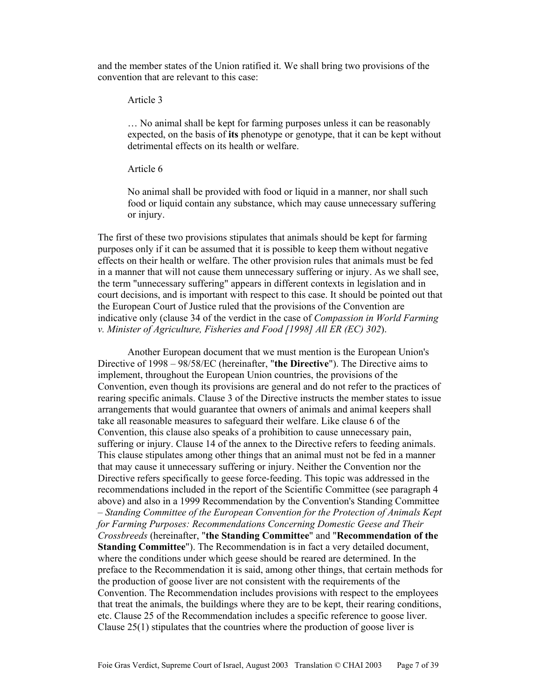and the member states of the Union ratified it. We shall bring two provisions of the convention that are relevant to this case:

Article 3

… No animal shall be kept for farming purposes unless it can be reasonably expected, on the basis of **its** phenotype or genotype, that it can be kept without detrimental effects on its health or welfare.

Article 6

No animal shall be provided with food or liquid in a manner, nor shall such food or liquid contain any substance, which may cause unnecessary suffering or injury.

The first of these two provisions stipulates that animals should be kept for farming purposes only if it can be assumed that it is possible to keep them without negative effects on their health or welfare. The other provision rules that animals must be fed in a manner that will not cause them unnecessary suffering or injury. As we shall see, the term "unnecessary suffering" appears in different contexts in legislation and in court decisions, and is important with respect to this case. It should be pointed out that the European Court of Justice ruled that the provisions of the Convention are indicative only (clause 34 of the verdict in the case of *Compassion in World Farming v. Minister of Agriculture, Fisheries and Food [1998] All ER (EC) 302*).

 Another European document that we must mention is the European Union's Directive of 1998 – 98/58/EC (hereinafter, "**the Directive**"). The Directive aims to implement, throughout the European Union countries, the provisions of the Convention, even though its provisions are general and do not refer to the practices of rearing specific animals. Clause 3 of the Directive instructs the member states to issue arrangements that would guarantee that owners of animals and animal keepers shall take all reasonable measures to safeguard their welfare. Like clause 6 of the Convention, this clause also speaks of a prohibition to cause unnecessary pain, suffering or injury. Clause 14 of the annex to the Directive refers to feeding animals. This clause stipulates among other things that an animal must not be fed in a manner that may cause it unnecessary suffering or injury. Neither the Convention nor the Directive refers specifically to geese force-feeding. This topic was addressed in the recommendations included in the report of the Scientific Committee (see paragraph 4 above) and also in a 1999 Recommendation by the Convention's Standing Committee – *Standing Committee of the European Convention for the Protection of Animals Kept for Farming Purposes: Recommendations Concerning Domestic Geese and Their Crossbreeds* (hereinafter, "**the Standing Committee**" and "**Recommendation of the Standing Committee**"). The Recommendation is in fact a very detailed document, where the conditions under which geese should be reared are determined. In the preface to the Recommendation it is said, among other things, that certain methods for the production of goose liver are not consistent with the requirements of the Convention. The Recommendation includes provisions with respect to the employees that treat the animals, the buildings where they are to be kept, their rearing conditions, etc. Clause 25 of the Recommendation includes a specific reference to goose liver. Clause 25(1) stipulates that the countries where the production of goose liver is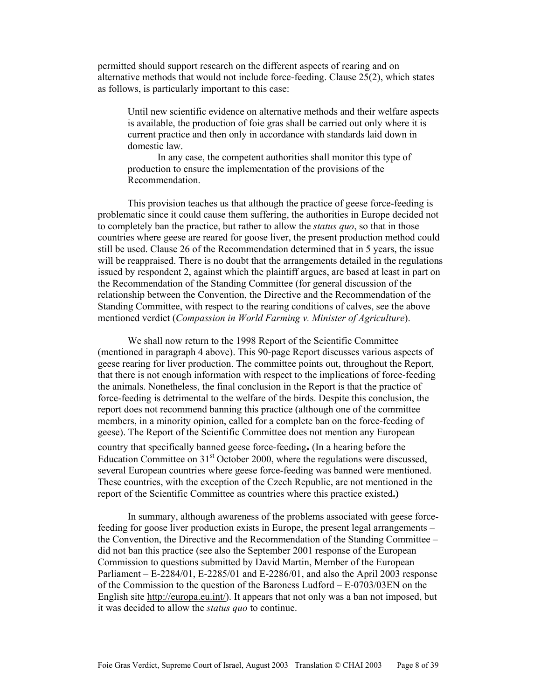permitted should support research on the different aspects of rearing and on alternative methods that would not include force-feeding. Clause 25(2), which states as follows, is particularly important to this case:

Until new scientific evidence on alternative methods and their welfare aspects is available, the production of foie gras shall be carried out only where it is current practice and then only in accordance with standards laid down in domestic law.

In any case, the competent authorities shall monitor this type of production to ensure the implementation of the provisions of the Recommendation.

 This provision teaches us that although the practice of geese force-feeding is problematic since it could cause them suffering, the authorities in Europe decided not to completely ban the practice, but rather to allow the *status quo*, so that in those countries where geese are reared for goose liver, the present production method could still be used. Clause 26 of the Recommendation determined that in 5 years, the issue will be reappraised. There is no doubt that the arrangements detailed in the regulations issued by respondent 2, against which the plaintiff argues, are based at least in part on the Recommendation of the Standing Committee (for general discussion of the relationship between the Convention, the Directive and the Recommendation of the Standing Committee, with respect to the rearing conditions of calves, see the above mentioned verdict (*Compassion in World Farming v. Minister of Agriculture*).

 We shall now return to the 1998 Report of the Scientific Committee (mentioned in paragraph 4 above). This 90-page Report discusses various aspects of geese rearing for liver production. The committee points out, throughout the Report, that there is not enough information with respect to the implications of force-feeding the animals. Nonetheless, the final conclusion in the Report is that the practice of force-feeding is detrimental to the welfare of the birds. Despite this conclusion, the report does not recommend banning this practice (although one of the committee members, in a minority opinion, called for a complete ban on the force-feeding of geese). The Report of the Scientific Committee does not mention any European country that specifically banned geese force-feeding**.** (In a hearing before the Education Committee on  $31<sup>st</sup>$  October 2000, where the regulations were discussed, several European countries where geese force-feeding was banned were mentioned. These countries, with the exception of the Czech Republic, are not mentioned in the report of the Scientific Committee as countries where this practice existed**.)** 

 In summary, although awareness of the problems associated with geese forcefeeding for goose liver production exists in Europe, the present legal arrangements – the Convention, the Directive and the Recommendation of the Standing Committee – did not ban this practice (see also the September 2001 response of the European Commission to questions submitted by David Martin, Member of the European Parliament – E-2284/01, E-2285/01 and E-2286/01, and also the April 2003 response of the Commission to the question of the Baroness Ludford – E-0703/03EN on the English site http://europa.eu.int/). It appears that not only was a ban not imposed, but it was decided to allow the *status quo* to continue.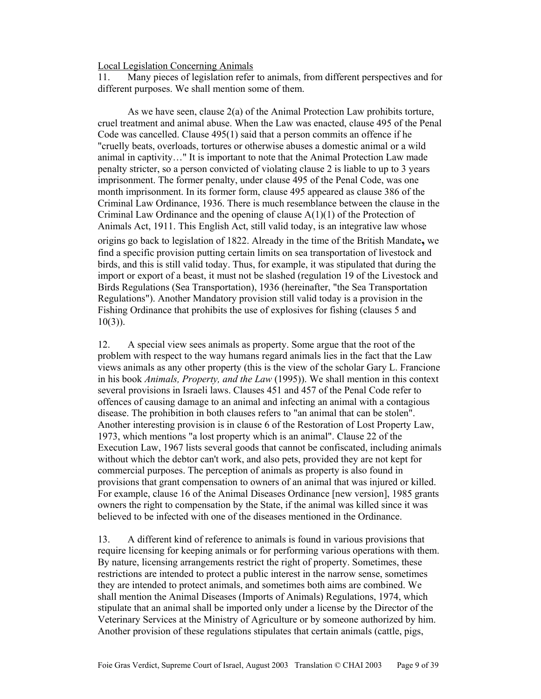#### Local Legislation Concerning Animals

11. Many pieces of legislation refer to animals, from different perspectives and for different purposes. We shall mention some of them.

 As we have seen, clause 2(a) of the Animal Protection Law prohibits torture, cruel treatment and animal abuse. When the Law was enacted, clause 495 of the Penal Code was cancelled. Clause 495(1) said that a person commits an offence if he "cruelly beats, overloads, tortures or otherwise abuses a domestic animal or a wild animal in captivity…" It is important to note that the Animal Protection Law made penalty stricter, so a person convicted of violating clause 2 is liable to up to 3 years imprisonment. The former penalty, under clause 495 of the Penal Code, was one month imprisonment. In its former form, clause 495 appeared as clause 386 of the Criminal Law Ordinance, 1936. There is much resemblance between the clause in the Criminal Law Ordinance and the opening of clause A(1)(1) of the Protection of Animals Act, 1911. This English Act, still valid today, is an integrative law whose origins go back to legislation of 1822. Already in the time of the British Mandate**,** we find a specific provision putting certain limits on sea transportation of livestock and birds, and this is still valid today. Thus, for example, it was stipulated that during the import or export of a beast, it must not be slashed (regulation 19 of the Livestock and Birds Regulations (Sea Transportation), 1936 (hereinafter, "the Sea Transportation Regulations"). Another Mandatory provision still valid today is a provision in the Fishing Ordinance that prohibits the use of explosives for fishing (clauses 5 and  $10(3)$ ).

12. A special view sees animals as property. Some argue that the root of the problem with respect to the way humans regard animals lies in the fact that the Law views animals as any other property (this is the view of the scholar Gary L. Francione in his book *Animals, Property, and the Law* (1995)). We shall mention in this context several provisions in Israeli laws. Clauses 451 and 457 of the Penal Code refer to offences of causing damage to an animal and infecting an animal with a contagious disease. The prohibition in both clauses refers to "an animal that can be stolen". Another interesting provision is in clause 6 of the Restoration of Lost Property Law, 1973, which mentions "a lost property which is an animal". Clause 22 of the Execution Law, 1967 lists several goods that cannot be confiscated, including animals without which the debtor can't work, and also pets, provided they are not kept for commercial purposes. The perception of animals as property is also found in provisions that grant compensation to owners of an animal that was injured or killed. For example, clause 16 of the Animal Diseases Ordinance [new version], 1985 grants owners the right to compensation by the State, if the animal was killed since it was believed to be infected with one of the diseases mentioned in the Ordinance.

13. A different kind of reference to animals is found in various provisions that require licensing for keeping animals or for performing various operations with them. By nature, licensing arrangements restrict the right of property. Sometimes, these restrictions are intended to protect a public interest in the narrow sense, sometimes they are intended to protect animals, and sometimes both aims are combined. We shall mention the Animal Diseases (Imports of Animals) Regulations, 1974, which stipulate that an animal shall be imported only under a license by the Director of the Veterinary Services at the Ministry of Agriculture or by someone authorized by him. Another provision of these regulations stipulates that certain animals (cattle, pigs,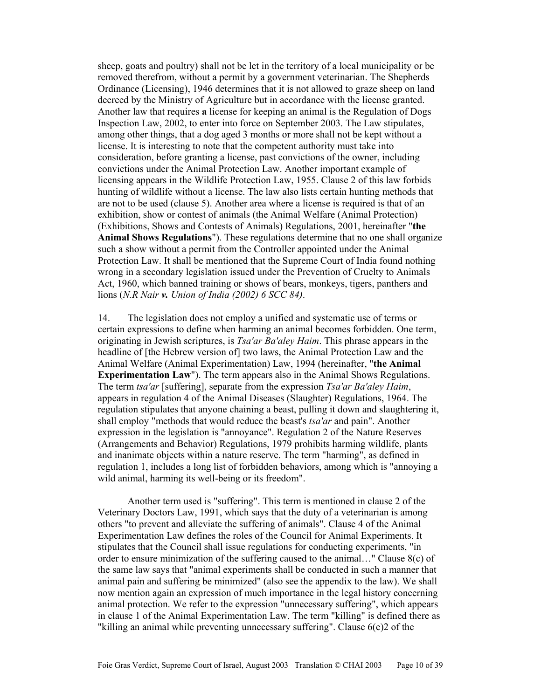sheep, goats and poultry) shall not be let in the territory of a local municipality or be removed therefrom, without a permit by a government veterinarian. The Shepherds Ordinance (Licensing), 1946 determines that it is not allowed to graze sheep on land decreed by the Ministry of Agriculture but in accordance with the license granted. Another law that requires **a** license for keeping an animal is the Regulation of Dogs Inspection Law, 2002, to enter into force on September 2003. The Law stipulates, among other things, that a dog aged 3 months or more shall not be kept without a license. It is interesting to note that the competent authority must take into consideration, before granting a license, past convictions of the owner, including convictions under the Animal Protection Law. Another important example of licensing appears in the Wildlife Protection Law, 1955. Clause 2 of this law forbids hunting of wildlife without a license. The law also lists certain hunting methods that are not to be used (clause 5). Another area where a license is required is that of an exhibition, show or contest of animals (the Animal Welfare (Animal Protection) (Exhibitions, Shows and Contests of Animals) Regulations, 2001, hereinafter "**the Animal Shows Regulations**"). These regulations determine that no one shall organize such a show without a permit from the Controller appointed under the Animal Protection Law. It shall be mentioned that the Supreme Court of India found nothing wrong in a secondary legislation issued under the Prevention of Cruelty to Animals Act, 1960, which banned training or shows of bears, monkeys, tigers, panthers and lions (*N.R Nair v. Union of India (2002) 6 SCC 84)*.

14. The legislation does not employ a unified and systematic use of terms or certain expressions to define when harming an animal becomes forbidden. One term, originating in Jewish scriptures, is *Tsa'ar Ba'aley Haim*. This phrase appears in the headline of [the Hebrew version of] two laws, the Animal Protection Law and the Animal Welfare (Animal Experimentation) Law, 1994 (hereinafter, "**the Animal Experimentation Law**"). The term appears also in the Animal Shows Regulations. The term *tsa'ar* [suffering], separate from the expression *Tsa'ar Ba'aley Haim*, appears in regulation 4 of the Animal Diseases (Slaughter) Regulations, 1964. The regulation stipulates that anyone chaining a beast, pulling it down and slaughtering it, shall employ "methods that would reduce the beast's *tsa'ar* and pain". Another expression in the legislation is "annoyance". Regulation 2 of the Nature Reserves (Arrangements and Behavior) Regulations, 1979 prohibits harming wildlife, plants and inanimate objects within a nature reserve. The term "harming", as defined in regulation 1, includes a long list of forbidden behaviors, among which is "annoying a wild animal, harming its well-being or its freedom".

 Another term used is "suffering". This term is mentioned in clause 2 of the Veterinary Doctors Law, 1991, which says that the duty of a veterinarian is among others "to prevent and alleviate the suffering of animals". Clause 4 of the Animal Experimentation Law defines the roles of the Council for Animal Experiments. It stipulates that the Council shall issue regulations for conducting experiments, "in order to ensure minimization of the suffering caused to the animal…" Clause 8(c) of the same law says that "animal experiments shall be conducted in such a manner that animal pain and suffering be minimized" (also see the appendix to the law). We shall now mention again an expression of much importance in the legal history concerning animal protection. We refer to the expression "unnecessary suffering", which appears in clause 1 of the Animal Experimentation Law. The term "killing" is defined there as "killing an animal while preventing unnecessary suffering". Clause 6(e)2 of the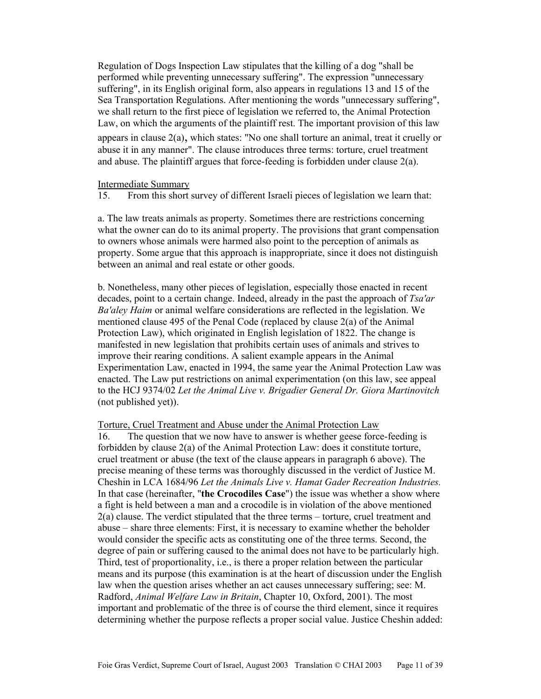Regulation of Dogs Inspection Law stipulates that the killing of a dog "shall be performed while preventing unnecessary suffering". The expression "unnecessary suffering", in its English original form, also appears in regulations 13 and 15 of the Sea Transportation Regulations. After mentioning the words "unnecessary suffering", we shall return to the first piece of legislation we referred to, the Animal Protection Law, on which the arguments of the plaintiff rest. The important provision of this law appears in clause  $2(a)$ , which states: "No one shall torture an animal, treat it cruelly or abuse it in any manner". The clause introduces three terms: torture, cruel treatment and abuse. The plaintiff argues that force-feeding is forbidden under clause  $2(a)$ .

#### Intermediate Summary

15. From this short survey of different Israeli pieces of legislation we learn that:

a. The law treats animals as property. Sometimes there are restrictions concerning what the owner can do to its animal property. The provisions that grant compensation to owners whose animals were harmed also point to the perception of animals as property. Some argue that this approach is inappropriate, since it does not distinguish between an animal and real estate or other goods.

b. Nonetheless, many other pieces of legislation, especially those enacted in recent decades, point to a certain change. Indeed, already in the past the approach of *Tsa'ar Ba'aley Haim* or animal welfare considerations are reflected in the legislation. We mentioned clause 495 of the Penal Code (replaced by clause 2(a) of the Animal Protection Law), which originated in English legislation of 1822. The change is manifested in new legislation that prohibits certain uses of animals and strives to improve their rearing conditions. A salient example appears in the Animal Experimentation Law, enacted in 1994, the same year the Animal Protection Law was enacted. The Law put restrictions on animal experimentation (on this law, see appeal to the HCJ 9374/02 *Let the Animal Live v. Brigadier General Dr. Giora Martinovitch* (not published yet)).

#### Torture, Cruel Treatment and Abuse under the Animal Protection Law

16. The question that we now have to answer is whether geese force-feeding is forbidden by clause 2(a) of the Animal Protection Law: does it constitute torture, cruel treatment or abuse (the text of the clause appears in paragraph 6 above). The precise meaning of these terms was thoroughly discussed in the verdict of Justice M. Cheshin in LCA 1684/96 *Let the Animals Live v. Hamat Gader Recreation Industries.* In that case (hereinafter, "**the Crocodiles Case**") the issue was whether a show where a fight is held between a man and a crocodile is in violation of the above mentioned 2(a) clause. The verdict stipulated that the three terms – torture, cruel treatment and abuse – share three elements: First, it is necessary to examine whether the beholder would consider the specific acts as constituting one of the three terms. Second, the degree of pain or suffering caused to the animal does not have to be particularly high. Third, test of proportionality, i.e., is there a proper relation between the particular means and its purpose (this examination is at the heart of discussion under the English law when the question arises whether an act causes unnecessary suffering; see: M. Radford, *Animal Welfare Law in Britain*, Chapter 10, Oxford, 2001). The most important and problematic of the three is of course the third element, since it requires determining whether the purpose reflects a proper social value. Justice Cheshin added: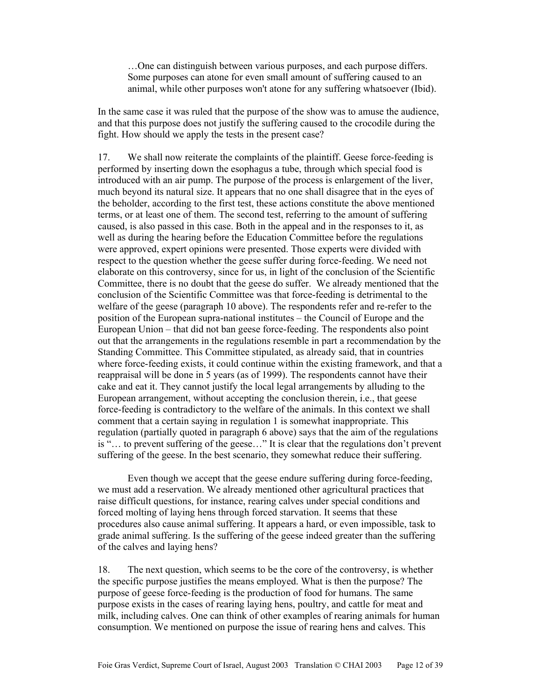…One can distinguish between various purposes, and each purpose differs. Some purposes can atone for even small amount of suffering caused to an animal, while other purposes won't atone for any suffering whatsoever (Ibid).

In the same case it was ruled that the purpose of the show was to amuse the audience, and that this purpose does not justify the suffering caused to the crocodile during the fight. How should we apply the tests in the present case?

17. We shall now reiterate the complaints of the plaintiff. Geese force-feeding is performed by inserting down the esophagus a tube, through which special food is introduced with an air pump. The purpose of the process is enlargement of the liver, much beyond its natural size. It appears that no one shall disagree that in the eyes of the beholder, according to the first test, these actions constitute the above mentioned terms, or at least one of them. The second test, referring to the amount of suffering caused, is also passed in this case. Both in the appeal and in the responses to it, as well as during the hearing before the Education Committee before the regulations were approved, expert opinions were presented. Those experts were divided with respect to the question whether the geese suffer during force-feeding. We need not elaborate on this controversy, since for us, in light of the conclusion of the Scientific Committee, there is no doubt that the geese do suffer. We already mentioned that the conclusion of the Scientific Committee was that force-feeding is detrimental to the welfare of the geese (paragraph 10 above). The respondents refer and re-refer to the position of the European supra-national institutes – the Council of Europe and the European Union – that did not ban geese force-feeding. The respondents also point out that the arrangements in the regulations resemble in part a recommendation by the Standing Committee. This Committee stipulated, as already said, that in countries where force-feeding exists, it could continue within the existing framework, and that a reappraisal will be done in 5 years (as of 1999). The respondents cannot have their cake and eat it. They cannot justify the local legal arrangements by alluding to the European arrangement, without accepting the conclusion therein, i.e., that geese force-feeding is contradictory to the welfare of the animals. In this context we shall comment that a certain saying in regulation 1 is somewhat inappropriate. This regulation (partially quoted in paragraph 6 above) says that the aim of the regulations is "… to prevent suffering of the geese…" It is clear that the regulations don't prevent suffering of the geese. In the best scenario, they somewhat reduce their suffering.

 Even though we accept that the geese endure suffering during force-feeding, we must add a reservation. We already mentioned other agricultural practices that raise difficult questions, for instance, rearing calves under special conditions and forced molting of laying hens through forced starvation. It seems that these procedures also cause animal suffering. It appears a hard, or even impossible, task to grade animal suffering. Is the suffering of the geese indeed greater than the suffering of the calves and laying hens?

18. The next question, which seems to be the core of the controversy, is whether the specific purpose justifies the means employed. What is then the purpose? The purpose of geese force-feeding is the production of food for humans. The same purpose exists in the cases of rearing laying hens, poultry, and cattle for meat and milk, including calves. One can think of other examples of rearing animals for human consumption. We mentioned on purpose the issue of rearing hens and calves. This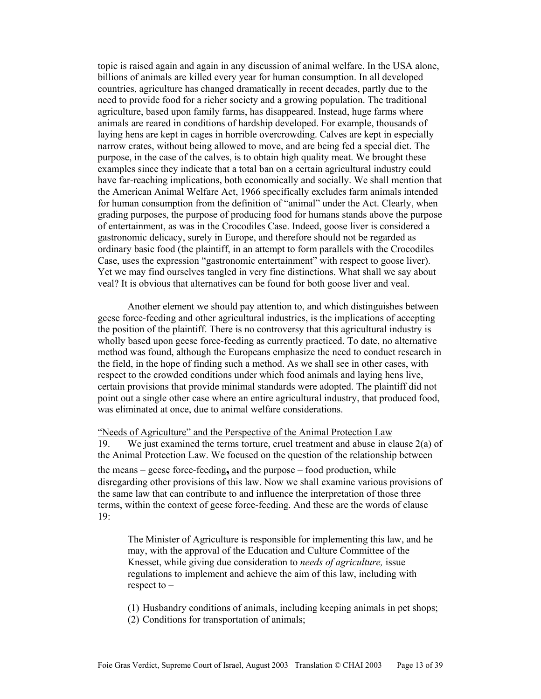topic is raised again and again in any discussion of animal welfare. In the USA alone, billions of animals are killed every year for human consumption. In all developed countries, agriculture has changed dramatically in recent decades, partly due to the need to provide food for a richer society and a growing population. The traditional agriculture, based upon family farms, has disappeared. Instead, huge farms where animals are reared in conditions of hardship developed. For example, thousands of laying hens are kept in cages in horrible overcrowding. Calves are kept in especially narrow crates, without being allowed to move, and are being fed a special diet. The purpose, in the case of the calves, is to obtain high quality meat. We brought these examples since they indicate that a total ban on a certain agricultural industry could have far-reaching implications, both economically and socially. We shall mention that the American Animal Welfare Act, 1966 specifically excludes farm animals intended for human consumption from the definition of "animal" under the Act. Clearly, when grading purposes, the purpose of producing food for humans stands above the purpose of entertainment, as was in the Crocodiles Case. Indeed, goose liver is considered a gastronomic delicacy, surely in Europe, and therefore should not be regarded as ordinary basic food (the plaintiff, in an attempt to form parallels with the Crocodiles Case, uses the expression "gastronomic entertainment" with respect to goose liver). Yet we may find ourselves tangled in very fine distinctions. What shall we say about veal? It is obvious that alternatives can be found for both goose liver and veal.

 Another element we should pay attention to, and which distinguishes between geese force-feeding and other agricultural industries, is the implications of accepting the position of the plaintiff. There is no controversy that this agricultural industry is wholly based upon geese force-feeding as currently practiced. To date, no alternative method was found, although the Europeans emphasize the need to conduct research in the field, in the hope of finding such a method. As we shall see in other cases, with respect to the crowded conditions under which food animals and laying hens live, certain provisions that provide minimal standards were adopted. The plaintiff did not point out a single other case where an entire agricultural industry, that produced food, was eliminated at once, due to animal welfare considerations.

"Needs of Agriculture" and the Perspective of the Animal Protection Law 19. We just examined the terms torture, cruel treatment and abuse in clause  $2(a)$  of the Animal Protection Law. We focused on the question of the relationship between the means – geese force-feeding**,** and the purpose – food production, while disregarding other provisions of this law. Now we shall examine various provisions of the same law that can contribute to and influence the interpretation of those three terms, within the context of geese force-feeding. And these are the words of clause 19:

The Minister of Agriculture is responsible for implementing this law, and he may, with the approval of the Education and Culture Committee of the Knesset, while giving due consideration to *needs of agriculture,* issue regulations to implement and achieve the aim of this law, including with respect to –

(1) Husbandry conditions of animals, including keeping animals in pet shops;

(2) Conditions for transportation of animals;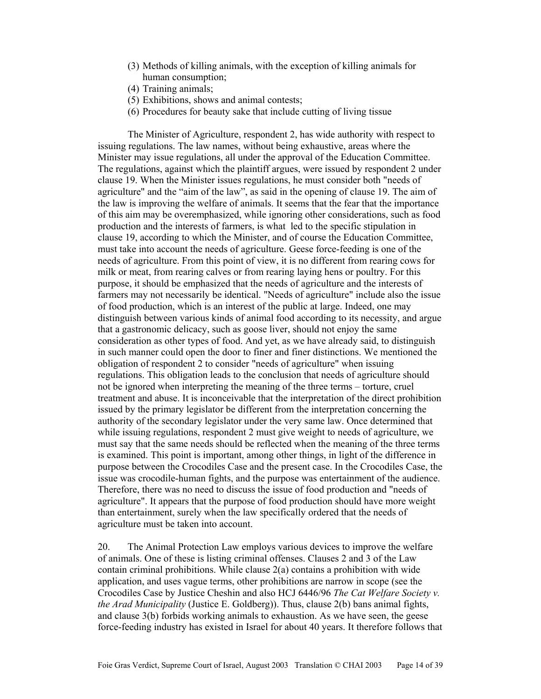- (3) Methods of killing animals, with the exception of killing animals for human consumption;
- (4) Training animals;
- (5) Exhibitions, shows and animal contests;
- (6) Procedures for beauty sake that include cutting of living tissue

The Minister of Agriculture, respondent 2, has wide authority with respect to issuing regulations. The law names, without being exhaustive, areas where the Minister may issue regulations, all under the approval of the Education Committee. The regulations, against which the plaintiff argues, were issued by respondent 2 under clause 19. When the Minister issues regulations, he must consider both "needs of agriculture" and the "aim of the law", as said in the opening of clause 19. The aim of the law is improving the welfare of animals. It seems that the fear that the importance of this aim may be overemphasized, while ignoring other considerations, such as food production and the interests of farmers, is what led to the specific stipulation in clause 19, according to which the Minister, and of course the Education Committee, must take into account the needs of agriculture. Geese force-feeding is one of the needs of agriculture. From this point of view, it is no different from rearing cows for milk or meat, from rearing calves or from rearing laying hens or poultry. For this purpose, it should be emphasized that the needs of agriculture and the interests of farmers may not necessarily be identical. "Needs of agriculture" include also the issue of food production, which is an interest of the public at large. Indeed, one may distinguish between various kinds of animal food according to its necessity, and argue that a gastronomic delicacy, such as goose liver, should not enjoy the same consideration as other types of food. And yet, as we have already said, to distinguish in such manner could open the door to finer and finer distinctions. We mentioned the obligation of respondent 2 to consider "needs of agriculture" when issuing regulations. This obligation leads to the conclusion that needs of agriculture should not be ignored when interpreting the meaning of the three terms – torture, cruel treatment and abuse. It is inconceivable that the interpretation of the direct prohibition issued by the primary legislator be different from the interpretation concerning the authority of the secondary legislator under the very same law. Once determined that while issuing regulations, respondent 2 must give weight to needs of agriculture, we must say that the same needs should be reflected when the meaning of the three terms is examined. This point is important, among other things, in light of the difference in purpose between the Crocodiles Case and the present case. In the Crocodiles Case, the issue was crocodile-human fights, and the purpose was entertainment of the audience. Therefore, there was no need to discuss the issue of food production and "needs of agriculture". It appears that the purpose of food production should have more weight than entertainment, surely when the law specifically ordered that the needs of agriculture must be taken into account.

20. The Animal Protection Law employs various devices to improve the welfare of animals. One of these is listing criminal offenses. Clauses 2 and 3 of the Law contain criminal prohibitions. While clause 2(a) contains a prohibition with wide application, and uses vague terms, other prohibitions are narrow in scope (see the Crocodiles Case by Justice Cheshin and also HCJ 6446/96 *The Cat Welfare Society v. the Arad Municipality* (Justice E. Goldberg)). Thus, clause 2(b) bans animal fights, and clause 3(b) forbids working animals to exhaustion. As we have seen, the geese force-feeding industry has existed in Israel for about 40 years. It therefore follows that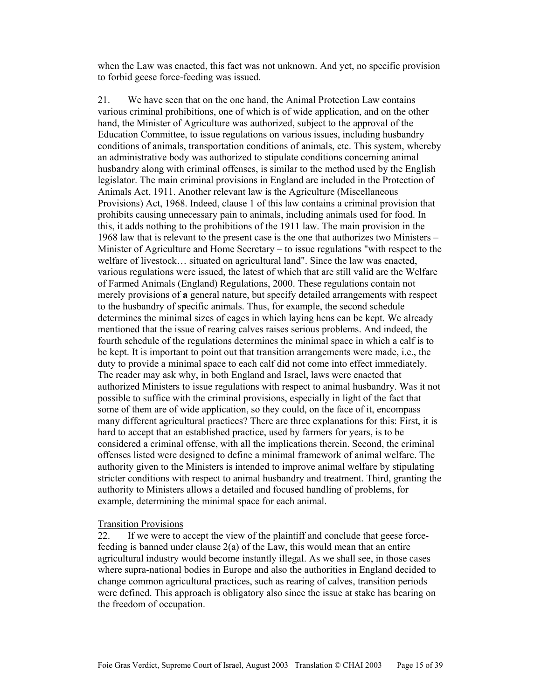when the Law was enacted, this fact was not unknown. And yet, no specific provision to forbid geese force-feeding was issued.

21. We have seen that on the one hand, the Animal Protection Law contains various criminal prohibitions, one of which is of wide application, and on the other hand, the Minister of Agriculture was authorized, subject to the approval of the Education Committee, to issue regulations on various issues, including husbandry conditions of animals, transportation conditions of animals, etc. This system, whereby an administrative body was authorized to stipulate conditions concerning animal husbandry along with criminal offenses, is similar to the method used by the English legislator. The main criminal provisions in England are included in the Protection of Animals Act, 1911. Another relevant law is the Agriculture (Miscellaneous Provisions) Act, 1968. Indeed, clause 1 of this law contains a criminal provision that prohibits causing unnecessary pain to animals, including animals used for food. In this, it adds nothing to the prohibitions of the 1911 law. The main provision in the 1968 law that is relevant to the present case is the one that authorizes two Ministers – Minister of Agriculture and Home Secretary – to issue regulations "with respect to the welfare of livestock… situated on agricultural land". Since the law was enacted, various regulations were issued, the latest of which that are still valid are the Welfare of Farmed Animals (England) Regulations, 2000. These regulations contain not merely provisions of **a** general nature, but specify detailed arrangements with respect to the husbandry of specific animals. Thus, for example, the second schedule determines the minimal sizes of cages in which laying hens can be kept. We already mentioned that the issue of rearing calves raises serious problems. And indeed, the fourth schedule of the regulations determines the minimal space in which a calf is to be kept. It is important to point out that transition arrangements were made, i.e., the duty to provide a minimal space to each calf did not come into effect immediately. The reader may ask why, in both England and Israel, laws were enacted that authorized Ministers to issue regulations with respect to animal husbandry. Was it not possible to suffice with the criminal provisions, especially in light of the fact that some of them are of wide application, so they could, on the face of it, encompass many different agricultural practices? There are three explanations for this: First, it is hard to accept that an established practice, used by farmers for years, is to be considered a criminal offense, with all the implications therein. Second, the criminal offenses listed were designed to define a minimal framework of animal welfare. The authority given to the Ministers is intended to improve animal welfare by stipulating stricter conditions with respect to animal husbandry and treatment. Third, granting the authority to Ministers allows a detailed and focused handling of problems, for example, determining the minimal space for each animal.

#### Transition Provisions

22. If we were to accept the view of the plaintiff and conclude that geese forcefeeding is banned under clause 2(a) of the Law, this would mean that an entire agricultural industry would become instantly illegal. As we shall see, in those cases where supra-national bodies in Europe and also the authorities in England decided to change common agricultural practices, such as rearing of calves, transition periods were defined. This approach is obligatory also since the issue at stake has bearing on the freedom of occupation.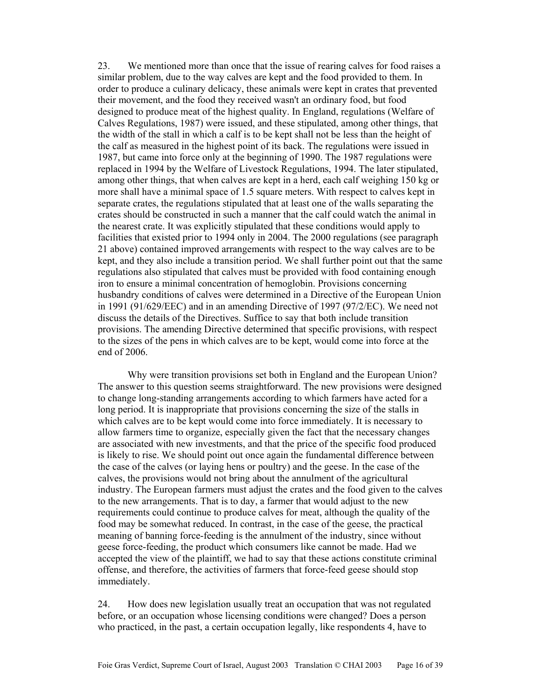23. We mentioned more than once that the issue of rearing calves for food raises a similar problem, due to the way calves are kept and the food provided to them. In order to produce a culinary delicacy, these animals were kept in crates that prevented their movement, and the food they received wasn't an ordinary food, but food designed to produce meat of the highest quality. In England, regulations (Welfare of Calves Regulations, 1987) were issued, and these stipulated, among other things, that the width of the stall in which a calf is to be kept shall not be less than the height of the calf as measured in the highest point of its back. The regulations were issued in 1987, but came into force only at the beginning of 1990. The 1987 regulations were replaced in 1994 by the Welfare of Livestock Regulations, 1994. The later stipulated, among other things, that when calves are kept in a herd, each calf weighing 150 kg or more shall have a minimal space of 1.5 square meters. With respect to calves kept in separate crates, the regulations stipulated that at least one of the walls separating the crates should be constructed in such a manner that the calf could watch the animal in the nearest crate. It was explicitly stipulated that these conditions would apply to facilities that existed prior to 1994 only in 2004. The 2000 regulations (see paragraph 21 above) contained improved arrangements with respect to the way calves are to be kept, and they also include a transition period. We shall further point out that the same regulations also stipulated that calves must be provided with food containing enough iron to ensure a minimal concentration of hemoglobin. Provisions concerning husbandry conditions of calves were determined in a Directive of the European Union in 1991 (91/629/EEC) and in an amending Directive of 1997 (97/2/EC). We need not discuss the details of the Directives. Suffice to say that both include transition provisions. The amending Directive determined that specific provisions, with respect to the sizes of the pens in which calves are to be kept, would come into force at the end of 2006.

 Why were transition provisions set both in England and the European Union? The answer to this question seems straightforward. The new provisions were designed to change long-standing arrangements according to which farmers have acted for a long period. It is inappropriate that provisions concerning the size of the stalls in which calves are to be kept would come into force immediately. It is necessary to allow farmers time to organize, especially given the fact that the necessary changes are associated with new investments, and that the price of the specific food produced is likely to rise. We should point out once again the fundamental difference between the case of the calves (or laying hens or poultry) and the geese. In the case of the calves, the provisions would not bring about the annulment of the agricultural industry. The European farmers must adjust the crates and the food given to the calves to the new arrangements. That is to day, a farmer that would adjust to the new requirements could continue to produce calves for meat, although the quality of the food may be somewhat reduced. In contrast, in the case of the geese, the practical meaning of banning force-feeding is the annulment of the industry, since without geese force-feeding, the product which consumers like cannot be made. Had we accepted the view of the plaintiff, we had to say that these actions constitute criminal offense, and therefore, the activities of farmers that force-feed geese should stop immediately.

24. How does new legislation usually treat an occupation that was not regulated before, or an occupation whose licensing conditions were changed? Does a person who practiced, in the past, a certain occupation legally, like respondents 4, have to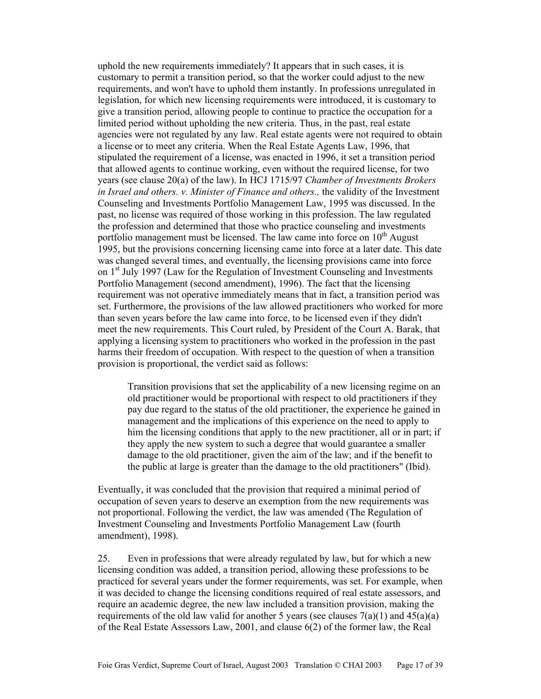uphold the new requirements immediately? It appears that in such cases, it is customary to permit a transition period, so that the worker could adjust to the new requirements, and won't have to uphold them instantly. In professions unregulated in legislation, for which new licensing requirements were introduced, it is customary to give a transition period, allowing people to continue to practice the occupation for a limited period without upholding the new criteria. Thus, in the past, real estate agencies were not regulated by any law. Real estate agents were not required to obtain a license or to meet any criteria. When the Real Estate Agents Law, 1996, that stipulated the requirement of a license, was enacted in 1996, it set a transition period that allowed agents to continue working, even without the required license, for two years (see clause 20(a) of the law). In HCJ 1715/97 *Chamber of Investments Brokers in Israel and others. v. Minister of Finance and others.,* the validity of the Investment Counseling and Investments Portfolio Management Law, 1995 was discussed. In the past, no license was required of those working in this profession. The law regulated the profession and determined that those who practice counseling and investments portfolio management must be licensed. The law came into force on  $10<sup>th</sup>$  August 1995, but the provisions concerning licensing came into force at a later date. This date was changed several times, and eventually, the licensing provisions came into force on 1<sup>st</sup> July 1997 (Law for the Regulation of Investment Counseling and Investments Portfolio Management (second amendment), 1996). The fact that the licensing requirement was not operative immediately means that in fact, a transition period was set. Furthermore, the provisions of the law allowed practitioners who worked for more than seven years before the law came into force, to be licensed even if they didn't meet the new requirements. This Court ruled, by President of the Court A. Barak, that applying a licensing system to practitioners who worked in the profession in the past harms their freedom of occupation. With respect to the question of when a transition provision is proportional, the verdict said as follows:

Transition provisions that set the applicability of a new licensing regime on an old practitioner would be proportional with respect to old practitioners if they pay due regard to the status of the old practitioner, the experience he gained in management and the implications of this experience on the need to apply to him the licensing conditions that apply to the new practitioner, all or in part; if they apply the new system to such a degree that would guarantee a smaller damage to the old practitioner, given the aim of the law; and if the benefit to the public at large is greater than the damage to the old practitioners" (Ibid).

Eventually, it was concluded that the provision that required a minimal period of occupation of seven years to deserve an exemption from the new requirements was not proportional. Following the verdict, the law was amended (The Regulation of Investment Counseling and Investments Portfolio Management Law (fourth amendment), 1998).

25. Even in professions that were already regulated by law, but for which a new licensing condition was added, a transition period, allowing these professions to be practiced for several years under the former requirements, was set. For example, when it was decided to change the licensing conditions required of real estate assessors, and require an academic degree, the new law included a transition provision, making the requirements of the old law valid for another 5 years (see clauses  $7(a)(1)$  and  $45(a)(a)$ ) of the Real Estate Assessors Law, 2001, and clause 6(2) of the former law, the Real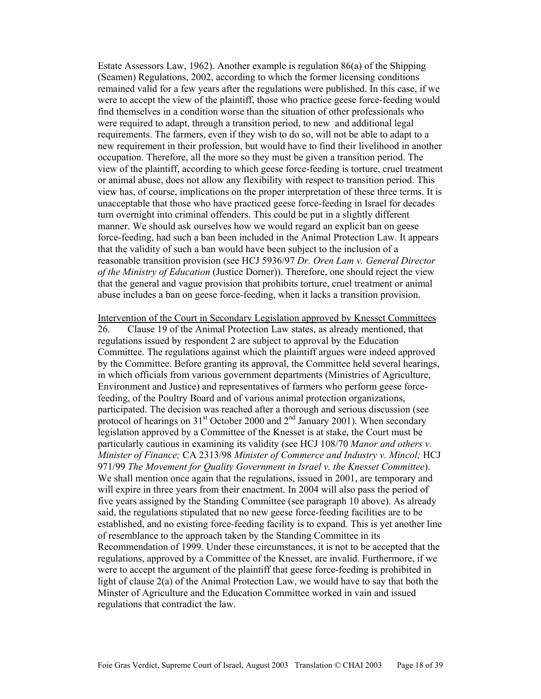Estate Assessors Law, 1962). Another example is regulation 86(a) of the Shipping (Seamen) Regulations, 2002, according to which the former licensing conditions remained valid for a few years after the regulations were published. In this case, if we were to accept the view of the plaintiff, those who practice geese force-feeding would find themselves in a condition worse than the situation of other professionals who were required to adapt, through a transition period, to new and additional legal requirements. The farmers, even if they wish to do so, will not be able to adapt to a new requirement in their profession, but would have to find their livelihood in another occupation. Therefore, all the more so they must be given a transition period. The view of the plaintiff, according to which geese force-feeding is torture, cruel treatment or animal abuse, does not allow any flexibility with respect to transition period. This view has, of course, implications on the proper interpretation of these three terms. It is unacceptable that those who have practiced geese force-feeding in Israel for decades turn overnight into criminal offenders. This could be put in a slightly different manner. We should ask ourselves how we would regard an explicit ban on geese force-feeding, had such a ban been included in the Animal Protection Law. It appears that the validity of such a ban would have been subject to the inclusion of a reasonable transition provision (see HCJ 5936/97 *Dr. Oren Lam v. General Director of the Ministry of Education* (Justice Dorner)). Therefore, one should reject the view that the general and vague provision that prohibits torture, cruel treatment or animal abuse includes a ban on geese force-feeding, when it lacks a transition provision.

Intervention of the Court in Secondary Legislation approved by Knesset Committees 26. Clause 19 of the Animal Protection Law states, as already mentioned, that regulations issued by respondent 2 are subject to approval by the Education Committee. The regulations against which the plaintiff argues were indeed approved by the Committee. Before granting its approval, the Committee held several hearings, in which officials from various government departments (Ministries of Agriculture, Environment and Justice) and representatives of farmers who perform geese forcefeeding, of the Poultry Board and of various animal protection organizations, participated. The decision was reached after a thorough and serious discussion (see protocol of hearings on  $31<sup>st</sup>$  October 2000 and  $2<sup>nd</sup>$  January 2001). When secondary legislation approved by a Committee of the Knesset is at stake, the Court must be particularly cautious in examining its validity (see HCJ 108/70 *Manor and others v. Minister of Finance;* CA 2313/98 *Minister of Commerce and Industry v. Mincol;* HCJ 971/99 *The Movement for Quality Government in Israel v. the Knesset Committee*). We shall mention once again that the regulations, issued in 2001, are temporary and will expire in three years from their enactment. In 2004 will also pass the period of five years assigned by the Standing Committee (see paragraph 10 above). As already said, the regulations stipulated that no new geese force-feeding facilities are to be established, and no existing force-feeding facility is to expand. This is yet another line of resemblance to the approach taken by the Standing Committee in its Recommendation of 1999. Under these circumstances, it is not to be accepted that the regulations, approved by a Committee of the Knesset, are invalid. Furthermore, if we were to accept the argument of the plaintiff that geese force-feeding is prohibited in light of clause 2(a) of the Animal Protection Law, we would have to say that both the Minster of Agriculture and the Education Committee worked in vain and issued regulations that contradict the law.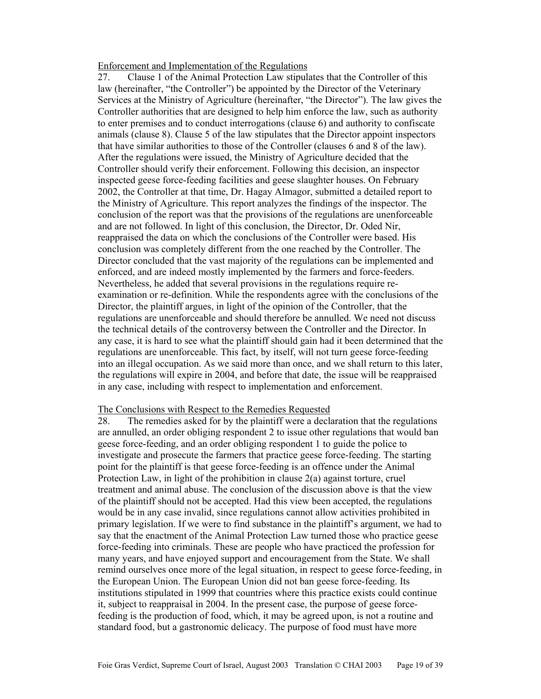#### Enforcement and Implementation of the Regulations

27. Clause 1 of the Animal Protection Law stipulates that the Controller of this law (hereinafter, "the Controller") be appointed by the Director of the Veterinary Services at the Ministry of Agriculture (hereinafter, "the Director"). The law gives the Controller authorities that are designed to help him enforce the law, such as authority to enter premises and to conduct interrogations (clause 6) and authority to confiscate animals (clause 8). Clause 5 of the law stipulates that the Director appoint inspectors that have similar authorities to those of the Controller (clauses 6 and 8 of the law). After the regulations were issued, the Ministry of Agriculture decided that the Controller should verify their enforcement. Following this decision, an inspector inspected geese force-feeding facilities and geese slaughter houses. On February 2002, the Controller at that time, Dr. Hagay Almagor, submitted a detailed report to the Ministry of Agriculture. This report analyzes the findings of the inspector. The conclusion of the report was that the provisions of the regulations are unenforceable and are not followed. In light of this conclusion, the Director, Dr. Oded Nir, reappraised the data on which the conclusions of the Controller were based. His conclusion was completely different from the one reached by the Controller. The Director concluded that the vast majority of the regulations can be implemented and enforced, and are indeed mostly implemented by the farmers and force-feeders. Nevertheless, he added that several provisions in the regulations require reexamination or re-definition. While the respondents agree with the conclusions of the Director, the plaintiff argues, in light of the opinion of the Controller, that the regulations are unenforceable and should therefore be annulled. We need not discuss the technical details of the controversy between the Controller and the Director. In any case, it is hard to see what the plaintiff should gain had it been determined that the regulations are unenforceable. This fact, by itself, will not turn geese force-feeding into an illegal occupation. As we said more than once, and we shall return to this later, the regulations will expire in 2004, and before that date, the issue will be reappraised in any case, including with respect to implementation and enforcement.

#### The Conclusions with Respect to the Remedies Requested

28. The remedies asked for by the plaintiff were a declaration that the regulations are annulled, an order obliging respondent 2 to issue other regulations that would ban geese force-feeding, and an order obliging respondent 1 to guide the police to investigate and prosecute the farmers that practice geese force-feeding. The starting point for the plaintiff is that geese force-feeding is an offence under the Animal Protection Law, in light of the prohibition in clause 2(a) against torture, cruel treatment and animal abuse. The conclusion of the discussion above is that the view of the plaintiff should not be accepted. Had this view been accepted, the regulations would be in any case invalid, since regulations cannot allow activities prohibited in primary legislation. If we were to find substance in the plaintiff's argument, we had to say that the enactment of the Animal Protection Law turned those who practice geese force-feeding into criminals. These are people who have practiced the profession for many years, and have enjoyed support and encouragement from the State. We shall remind ourselves once more of the legal situation, in respect to geese force-feeding, in the European Union. The European Union did not ban geese force-feeding. Its institutions stipulated in 1999 that countries where this practice exists could continue it, subject to reappraisal in 2004. In the present case, the purpose of geese forcefeeding is the production of food, which, it may be agreed upon, is not a routine and standard food, but a gastronomic delicacy. The purpose of food must have more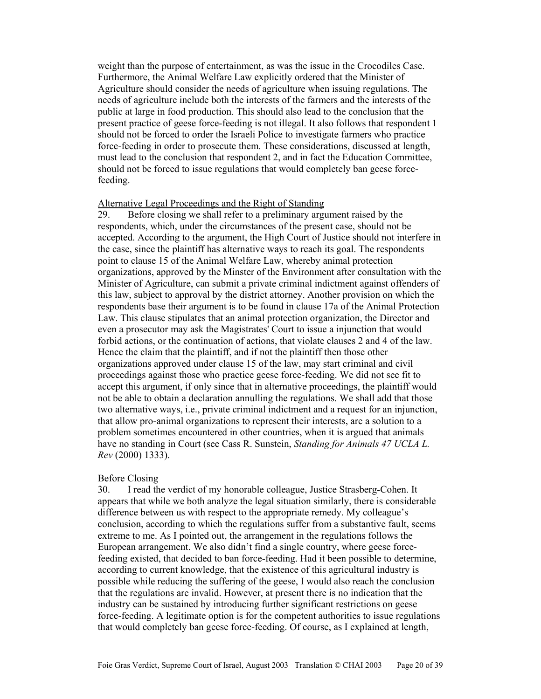weight than the purpose of entertainment, as was the issue in the Crocodiles Case. Furthermore, the Animal Welfare Law explicitly ordered that the Minister of Agriculture should consider the needs of agriculture when issuing regulations. The needs of agriculture include both the interests of the farmers and the interests of the public at large in food production. This should also lead to the conclusion that the present practice of geese force-feeding is not illegal. It also follows that respondent 1 should not be forced to order the Israeli Police to investigate farmers who practice force-feeding in order to prosecute them. These considerations, discussed at length, must lead to the conclusion that respondent 2, and in fact the Education Committee, should not be forced to issue regulations that would completely ban geese forcefeeding.

## Alternative Legal Proceedings and the Right of Standing

29. Before closing we shall refer to a preliminary argument raised by the respondents, which, under the circumstances of the present case, should not be accepted. According to the argument, the High Court of Justice should not interfere in the case, since the plaintiff has alternative ways to reach its goal. The respondents point to clause 15 of the Animal Welfare Law, whereby animal protection organizations, approved by the Minster of the Environment after consultation with the Minister of Agriculture, can submit a private criminal indictment against offenders of this law, subject to approval by the district attorney. Another provision on which the respondents base their argument is to be found in clause 17a of the Animal Protection Law. This clause stipulates that an animal protection organization, the Director and even a prosecutor may ask the Magistrates' Court to issue a injunction that would forbid actions, or the continuation of actions, that violate clauses 2 and 4 of the law. Hence the claim that the plaintiff, and if not the plaintiff then those other organizations approved under clause 15 of the law, may start criminal and civil proceedings against those who practice geese force-feeding. We did not see fit to accept this argument, if only since that in alternative proceedings, the plaintiff would not be able to obtain a declaration annulling the regulations. We shall add that those two alternative ways, i.e., private criminal indictment and a request for an injunction, that allow pro-animal organizations to represent their interests, are a solution to a problem sometimes encountered in other countries, when it is argued that animals have no standing in Court (see Cass R. Sunstein, *Standing for Animals 47 UCLA L. Rev* (2000) 1333).

#### Before Closing

30. I read the verdict of my honorable colleague, Justice Strasberg-Cohen. It appears that while we both analyze the legal situation similarly, there is considerable difference between us with respect to the appropriate remedy. My colleague's conclusion, according to which the regulations suffer from a substantive fault, seems extreme to me. As I pointed out, the arrangement in the regulations follows the European arrangement. We also didn't find a single country, where geese forcefeeding existed, that decided to ban force-feeding. Had it been possible to determine, according to current knowledge, that the existence of this agricultural industry is possible while reducing the suffering of the geese, I would also reach the conclusion that the regulations are invalid. However, at present there is no indication that the industry can be sustained by introducing further significant restrictions on geese force-feeding. A legitimate option is for the competent authorities to issue regulations that would completely ban geese force-feeding. Of course, as I explained at length,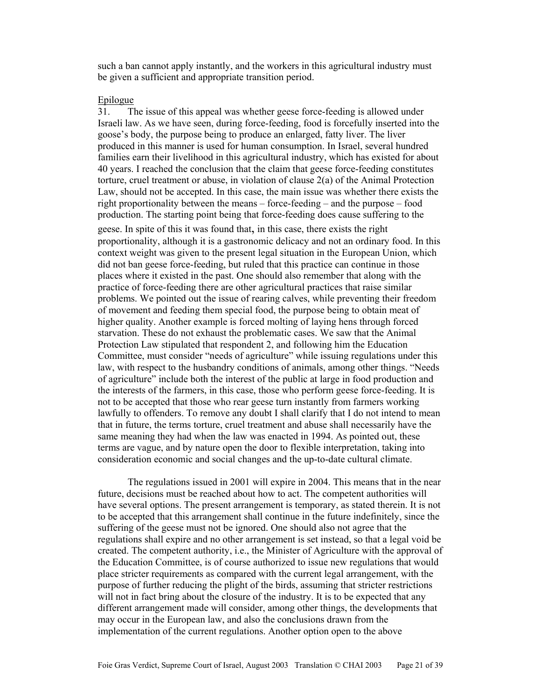such a ban cannot apply instantly, and the workers in this agricultural industry must be given a sufficient and appropriate transition period.

## Epilogue

31. The issue of this appeal was whether geese force-feeding is allowed under Israeli law. As we have seen, during force-feeding, food is forcefully inserted into the goose's body, the purpose being to produce an enlarged, fatty liver. The liver produced in this manner is used for human consumption. In Israel, several hundred families earn their livelihood in this agricultural industry, which has existed for about 40 years. I reached the conclusion that the claim that geese force-feeding constitutes torture, cruel treatment or abuse, in violation of clause 2(a) of the Animal Protection Law, should not be accepted. In this case, the main issue was whether there exists the right proportionality between the means – force-feeding – and the purpose – food production. The starting point being that force-feeding does cause suffering to the geese. In spite of this it was found that, in this case, there exists the right proportionality, although it is a gastronomic delicacy and not an ordinary food. In this context weight was given to the present legal situation in the European Union, which did not ban geese force-feeding, but ruled that this practice can continue in those places where it existed in the past. One should also remember that along with the practice of force-feeding there are other agricultural practices that raise similar problems. We pointed out the issue of rearing calves, while preventing their freedom of movement and feeding them special food, the purpose being to obtain meat of higher quality. Another example is forced molting of laying hens through forced starvation. These do not exhaust the problematic cases. We saw that the Animal Protection Law stipulated that respondent 2, and following him the Education Committee, must consider "needs of agriculture" while issuing regulations under this law, with respect to the husbandry conditions of animals, among other things. "Needs of agriculture" include both the interest of the public at large in food production and the interests of the farmers, in this case, those who perform geese force-feeding. It is not to be accepted that those who rear geese turn instantly from farmers working lawfully to offenders. To remove any doubt I shall clarify that I do not intend to mean that in future, the terms torture, cruel treatment and abuse shall necessarily have the same meaning they had when the law was enacted in 1994. As pointed out, these terms are vague, and by nature open the door to flexible interpretation, taking into consideration economic and social changes and the up-to-date cultural climate.

 The regulations issued in 2001 will expire in 2004. This means that in the near future, decisions must be reached about how to act. The competent authorities will have several options. The present arrangement is temporary, as stated therein. It is not to be accepted that this arrangement shall continue in the future indefinitely, since the suffering of the geese must not be ignored. One should also not agree that the regulations shall expire and no other arrangement is set instead, so that a legal void be created. The competent authority, i.e., the Minister of Agriculture with the approval of the Education Committee, is of course authorized to issue new regulations that would place stricter requirements as compared with the current legal arrangement, with the purpose of further reducing the plight of the birds, assuming that stricter restrictions will not in fact bring about the closure of the industry. It is to be expected that any different arrangement made will consider, among other things, the developments that may occur in the European law, and also the conclusions drawn from the implementation of the current regulations. Another option open to the above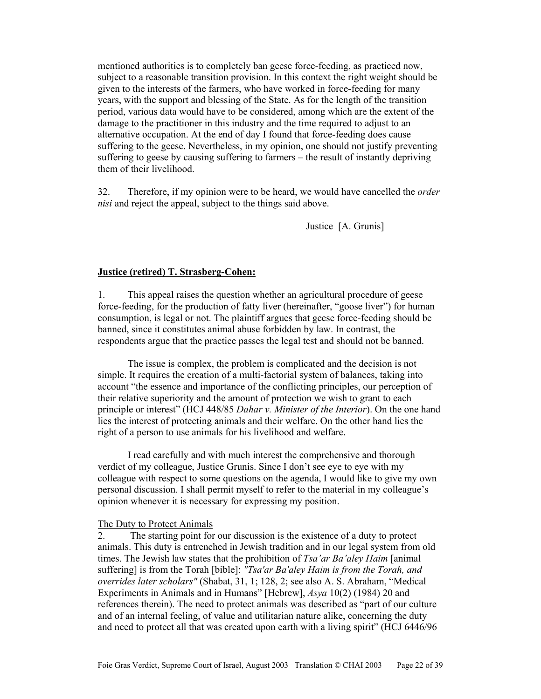mentioned authorities is to completely ban geese force-feeding, as practiced now, subject to a reasonable transition provision. In this context the right weight should be given to the interests of the farmers, who have worked in force-feeding for many years, with the support and blessing of the State. As for the length of the transition period, various data would have to be considered, among which are the extent of the damage to the practitioner in this industry and the time required to adjust to an alternative occupation. At the end of day I found that force-feeding does cause suffering to the geese. Nevertheless, in my opinion, one should not justify preventing suffering to geese by causing suffering to farmers – the result of instantly depriving them of their livelihood.

32. Therefore, if my opinion were to be heard, we would have cancelled the *order nisi* and reject the appeal, subject to the things said above.

Justice [A. Grunis]

## **Justice (retired) T. Strasberg-Cohen:**

1. This appeal raises the question whether an agricultural procedure of geese force-feeding, for the production of fatty liver (hereinafter, "goose liver") for human consumption, is legal or not. The plaintiff argues that geese force-feeding should be banned, since it constitutes animal abuse forbidden by law. In contrast, the respondents argue that the practice passes the legal test and should not be banned.

 The issue is complex, the problem is complicated and the decision is not simple. It requires the creation of a multi-factorial system of balances, taking into account "the essence and importance of the conflicting principles, our perception of their relative superiority and the amount of protection we wish to grant to each principle or interest" (HCJ 448/85 *Dahar v. Minister of the Interior*). On the one hand lies the interest of protecting animals and their welfare. On the other hand lies the right of a person to use animals for his livelihood and welfare.

 I read carefully and with much interest the comprehensive and thorough verdict of my colleague, Justice Grunis. Since I don't see eye to eye with my colleague with respect to some questions on the agenda, I would like to give my own personal discussion. I shall permit myself to refer to the material in my colleague's opinion whenever it is necessary for expressing my position.

#### The Duty to Protect Animals

2. The starting point for our discussion is the existence of a duty to protect animals. This duty is entrenched in Jewish tradition and in our legal system from old times. The Jewish law states that the prohibition of *Tsa'ar Ba'aley Haim* [animal suffering] is from the Torah [bible]: *"Tsa'ar Ba'aley Haim is from the Torah, and overrides later scholars"* (Shabat, 31, 1; 128, 2; see also A. S. Abraham, "Medical Experiments in Animals and in Humans" [Hebrew], *Asya* 10(2) (1984) 20 and references therein). The need to protect animals was described as "part of our culture and of an internal feeling, of value and utilitarian nature alike, concerning the duty and need to protect all that was created upon earth with a living spirit" (HCJ 6446/96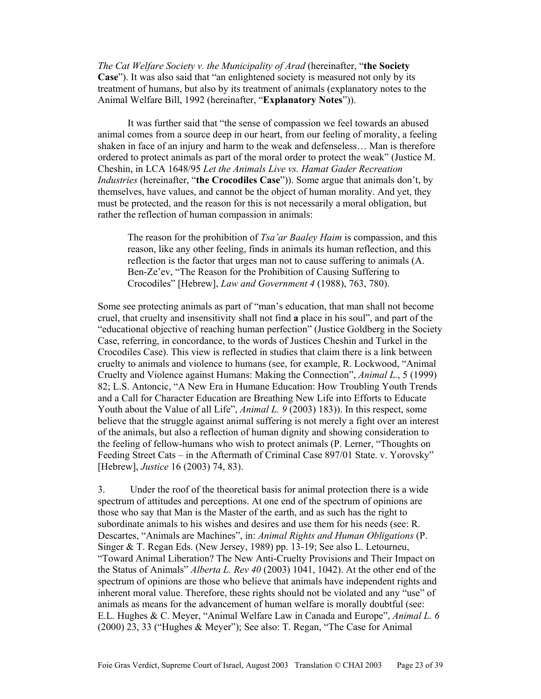*The Cat Welfare Society v. the Municipality of Arad* (hereinafter, "**the Society Case**"). It was also said that "an enlightened society is measured not only by its treatment of humans, but also by its treatment of animals (explanatory notes to the Animal Welfare Bill, 1992 (hereinafter, "**Explanatory Notes**")).

 It was further said that "the sense of compassion we feel towards an abused animal comes from a source deep in our heart, from our feeling of morality, a feeling shaken in face of an injury and harm to the weak and defenseless… Man is therefore ordered to protect animals as part of the moral order to protect the weak" (Justice M. Cheshin, in LCA 1648/95 *Let the Animals Live vs. Hamat Gader Recreation Industries* (hereinafter, "**the Crocodiles Case**")). Some argue that animals don't, by themselves, have values, and cannot be the object of human morality. And yet, they must be protected, and the reason for this is not necessarily a moral obligation, but rather the reflection of human compassion in animals:

The reason for the prohibition of *Tsa'ar Baaley Haim* is compassion, and this reason, like any other feeling, finds in animals its human reflection, and this reflection is the factor that urges man not to cause suffering to animals (A. Ben-Ze'ev, "The Reason for the Prohibition of Causing Suffering to Crocodiles" [Hebrew], *Law and Government 4* (1988), 763, 780).

Some see protecting animals as part of "man's education, that man shall not become cruel, that cruelty and insensitivity shall not find **a** place in his soul", and part of the "educational objective of reaching human perfection" (Justice Goldberg in the Society Case, referring, in concordance, to the words of Justices Cheshin and Turkel in the Crocodiles Case). This view is reflected in studies that claim there is a link between cruelty to animals and violence to humans (see, for example, R. Lockwood, "Animal Cruelty and Violence against Humans: Making the Connection", *Animal L.*, 5 (1999) 82; L.S. Antoncic, "A New Era in Humane Education: How Troubling Youth Trends and a Call for Character Education are Breathing New Life into Efforts to Educate Youth about the Value of all Life", *Animal L. 9* (2003) 183)). In this respect, some believe that the struggle against animal suffering is not merely a fight over an interest of the animals, but also a reflection of human dignity and showing consideration to the feeling of fellow-humans who wish to protect animals (P. Lerner, "Thoughts on Feeding Street Cats – in the Aftermath of Criminal Case 897/01 State. v. Yorovsky" [Hebrew], *Justice* 16 (2003) 74, 83).

3. Under the roof of the theoretical basis for animal protection there is a wide spectrum of attitudes and perceptions. At one end of the spectrum of opinions are those who say that Man is the Master of the earth, and as such has the right to subordinate animals to his wishes and desires and use them for his needs (see: R. Descartes, "Animals are Machines", in: *Animal Rights and Human Obligations* (P. Singer & T. Regan Eds. (New Jersey, 1989) pp. 13-19; See also L. Letourneu, "Toward Animal Liberation? The New Anti-Cruelty Provisions and Their Impact on the Status of Animals" *Alberta L. Rev 40* (2003) 1041, 1042). At the other end of the spectrum of opinions are those who believe that animals have independent rights and inherent moral value. Therefore, these rights should not be violated and any "use" of animals as means for the advancement of human welfare is morally doubtful (see: E.L. Hughes & C. Meyer, "Animal Welfare Law in Canada and Europe", *Animal L. 6* (2000) 23, 33 ("Hughes & Meyer"); See also: T. Regan, "The Case for Animal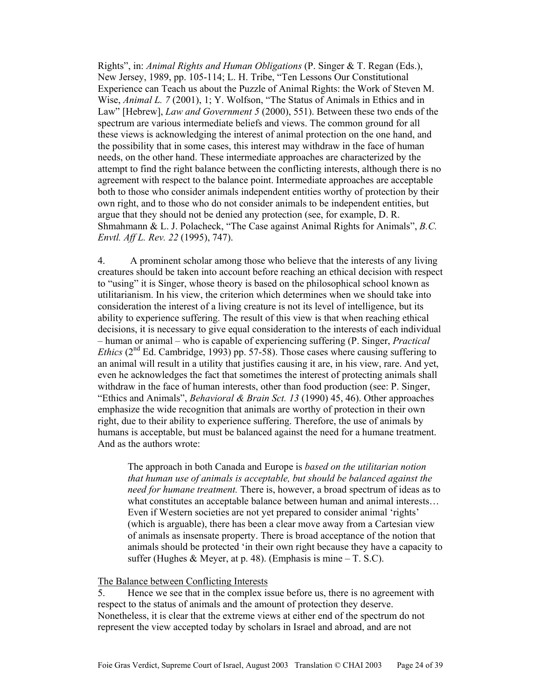Rights", in: *Animal Rights and Human Obligations* (P. Singer & T. Regan (Eds.), New Jersey, 1989, pp. 105-114; L. H. Tribe, "Ten Lessons Our Constitutional Experience can Teach us about the Puzzle of Animal Rights: the Work of Steven M. Wise, *Animal L.* 7 (2001), 1; Y. Wolfson, "The Status of Animals in Ethics and in Law" [Hebrew], *Law and Government 5* (2000), 551). Between these two ends of the spectrum are various intermediate beliefs and views. The common ground for all these views is acknowledging the interest of animal protection on the one hand, and the possibility that in some cases, this interest may withdraw in the face of human needs, on the other hand. These intermediate approaches are characterized by the attempt to find the right balance between the conflicting interests, although there is no agreement with respect to the balance point. Intermediate approaches are acceptable both to those who consider animals independent entities worthy of protection by their own right, and to those who do not consider animals to be independent entities, but argue that they should not be denied any protection (see, for example, D. R. Shmahmann & L. J. Polacheck, "The Case against Animal Rights for Animals", *B.C. Envtl. Aff L. Rev. 22* (1995), 747).

4. A prominent scholar among those who believe that the interests of any living creatures should be taken into account before reaching an ethical decision with respect to "using" it is Singer, whose theory is based on the philosophical school known as utilitarianism. In his view, the criterion which determines when we should take into consideration the interest of a living creature is not its level of intelligence, but its ability to experience suffering. The result of this view is that when reaching ethical decisions, it is necessary to give equal consideration to the interests of each individual – human or animal – who is capable of experiencing suffering (P. Singer, *Practical Ethics* ( $2<sup>nd</sup>$  Ed. Cambridge, 1993) pp. 57-58). Those cases where causing suffering to an animal will result in a utility that justifies causing it are, in his view, rare. And yet, even he acknowledges the fact that sometimes the interest of protecting animals shall withdraw in the face of human interests, other than food production (see: P. Singer, "Ethics and Animals", *Behavioral & Brain Sct. 13* (1990) 45, 46). Other approaches emphasize the wide recognition that animals are worthy of protection in their own right, due to their ability to experience suffering. Therefore, the use of animals by humans is acceptable, but must be balanced against the need for a humane treatment. And as the authors wrote:

The approach in both Canada and Europe is *based on the utilitarian notion that human use of animals is acceptable, but should be balanced against the need for humane treatment.* There is, however, a broad spectrum of ideas as to what constitutes an acceptable balance between human and animal interests… Even if Western societies are not yet prepared to consider animal 'rights' (which is arguable), there has been a clear move away from a Cartesian view of animals as insensate property. There is broad acceptance of the notion that animals should be protected 'in their own right because they have a capacity to suffer (Hughes & Meyer, at p. 48). (Emphasis is mine  $-$  T. S.C).

#### The Balance between Conflicting Interests

5. Hence we see that in the complex issue before us, there is no agreement with respect to the status of animals and the amount of protection they deserve. Nonetheless, it is clear that the extreme views at either end of the spectrum do not represent the view accepted today by scholars in Israel and abroad, and are not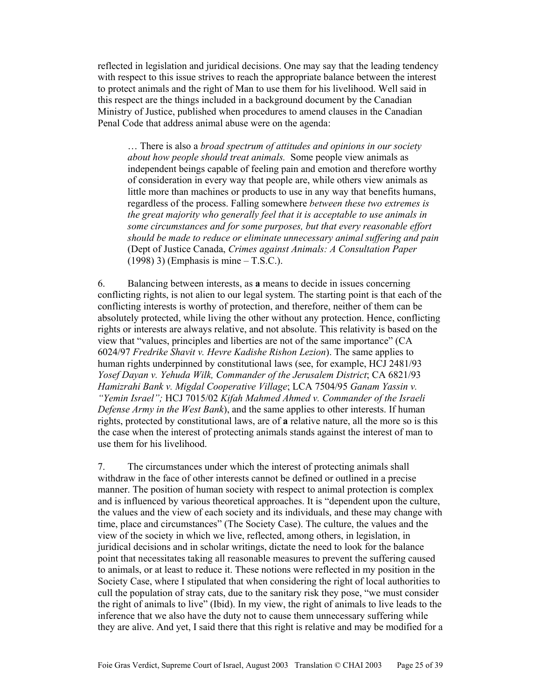reflected in legislation and juridical decisions. One may say that the leading tendency with respect to this issue strives to reach the appropriate balance between the interest to protect animals and the right of Man to use them for his livelihood. Well said in this respect are the things included in a background document by the Canadian Ministry of Justice, published when procedures to amend clauses in the Canadian Penal Code that address animal abuse were on the agenda:

… There is also a *broad spectrum of attitudes and opinions in our society about how people should treat animals.* Some people view animals as independent beings capable of feeling pain and emotion and therefore worthy of consideration in every way that people are, while others view animals as little more than machines or products to use in any way that benefits humans, regardless of the process. Falling somewhere *between these two extremes is the great majority who generally feel that it is acceptable to use animals in some circumstances and for some purposes, but that every reasonable effort should be made to reduce or eliminate unnecessary animal suffering and pain* (Dept of Justice Canada, *Crimes against Animals: A Consultation Paper* (1998) 3) (Emphasis is mine – T.S.C.).

6. Balancing between interests, as **a** means to decide in issues concerning conflicting rights, is not alien to our legal system. The starting point is that each of the conflicting interests is worthy of protection, and therefore, neither of them can be absolutely protected, while living the other without any protection. Hence, conflicting rights or interests are always relative, and not absolute. This relativity is based on the view that "values, principles and liberties are not of the same importance" (CA 6024/97 *Fredrike Shavit v. Hevre Kadishe Rishon Lezion*). The same applies to human rights underpinned by constitutional laws (see, for example, HCJ 2481/93 *Yosef Dayan v. Yehuda Wilk, Commander of the Jerusalem District*; CA 6821/93 *Hamizrahi Bank v. Migdal Cooperative Village*; LCA 7504/95 *Ganam Yassin v. "Yemin Israel";* HCJ 7015/02 *Kifah Mahmed Ahmed v. Commander of the Israeli Defense Army in the West Bank*), and the same applies to other interests. If human rights, protected by constitutional laws, are of **a** relative nature, all the more so is this the case when the interest of protecting animals stands against the interest of man to use them for his livelihood.

7. The circumstances under which the interest of protecting animals shall withdraw in the face of other interests cannot be defined or outlined in a precise manner. The position of human society with respect to animal protection is complex and is influenced by various theoretical approaches. It is "dependent upon the culture, the values and the view of each society and its individuals, and these may change with time, place and circumstances" (The Society Case). The culture, the values and the view of the society in which we live, reflected, among others, in legislation, in juridical decisions and in scholar writings, dictate the need to look for the balance point that necessitates taking all reasonable measures to prevent the suffering caused to animals, or at least to reduce it. These notions were reflected in my position in the Society Case, where I stipulated that when considering the right of local authorities to cull the population of stray cats, due to the sanitary risk they pose, "we must consider the right of animals to live" (Ibid). In my view, the right of animals to live leads to the inference that we also have the duty not to cause them unnecessary suffering while they are alive. And yet, I said there that this right is relative and may be modified for a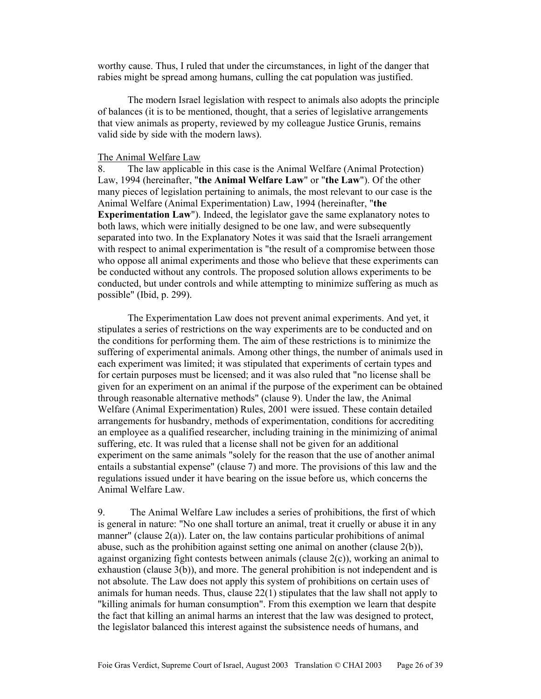worthy cause. Thus, I ruled that under the circumstances, in light of the danger that rabies might be spread among humans, culling the cat population was justified.

 The modern Israel legislation with respect to animals also adopts the principle of balances (it is to be mentioned, thought, that a series of legislative arrangements that view animals as property, reviewed by my colleague Justice Grunis, remains valid side by side with the modern laws).

#### The Animal Welfare Law

8. The law applicable in this case is the Animal Welfare (Animal Protection) Law, 1994 (hereinafter, "**the Animal Welfare Law**" or "**the Law**"). Of the other many pieces of legislation pertaining to animals, the most relevant to our case is the Animal Welfare (Animal Experimentation) Law, 1994 (hereinafter, "**the Experimentation Law**"). Indeed, the legislator gave the same explanatory notes to both laws, which were initially designed to be one law, and were subsequently separated into two. In the Explanatory Notes it was said that the Israeli arrangement with respect to animal experimentation is "the result of a compromise between those who oppose all animal experiments and those who believe that these experiments can be conducted without any controls. The proposed solution allows experiments to be conducted, but under controls and while attempting to minimize suffering as much as possible" (Ibid, p. 299).

 The Experimentation Law does not prevent animal experiments. And yet, it stipulates a series of restrictions on the way experiments are to be conducted and on the conditions for performing them. The aim of these restrictions is to minimize the suffering of experimental animals. Among other things, the number of animals used in each experiment was limited; it was stipulated that experiments of certain types and for certain purposes must be licensed; and it was also ruled that "no license shall be given for an experiment on an animal if the purpose of the experiment can be obtained through reasonable alternative methods" (clause 9). Under the law, the Animal Welfare (Animal Experimentation) Rules, 2001 were issued. These contain detailed arrangements for husbandry, methods of experimentation, conditions for accrediting an employee as a qualified researcher, including training in the minimizing of animal suffering, etc. It was ruled that a license shall not be given for an additional experiment on the same animals "solely for the reason that the use of another animal entails a substantial expense" (clause 7) and more. The provisions of this law and the regulations issued under it have bearing on the issue before us, which concerns the Animal Welfare Law.

9. The Animal Welfare Law includes a series of prohibitions, the first of which is general in nature: "No one shall torture an animal, treat it cruelly or abuse it in any manner" (clause 2(a)). Later on, the law contains particular prohibitions of animal abuse, such as the prohibition against setting one animal on another (clause 2(b)), against organizing fight contests between animals (clause 2(c)), working an animal to exhaustion (clause 3(b)), and more. The general prohibition is not independent and is not absolute. The Law does not apply this system of prohibitions on certain uses of animals for human needs. Thus, clause 22(1) stipulates that the law shall not apply to "killing animals for human consumption". From this exemption we learn that despite the fact that killing an animal harms an interest that the law was designed to protect, the legislator balanced this interest against the subsistence needs of humans, and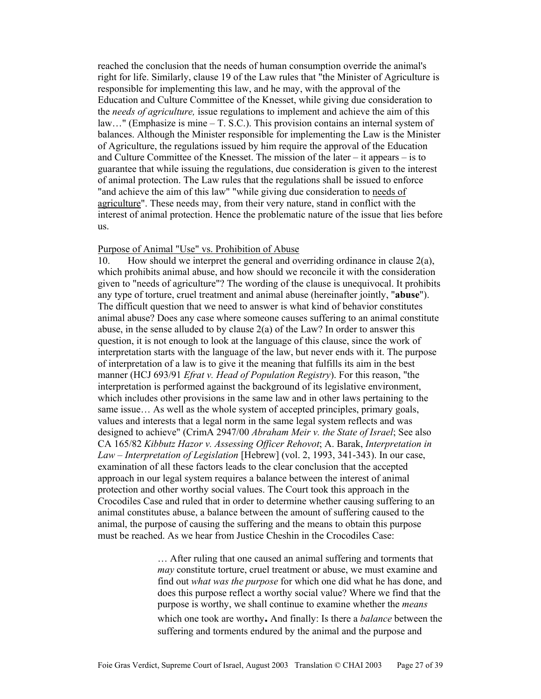reached the conclusion that the needs of human consumption override the animal's right for life. Similarly, clause 19 of the Law rules that "the Minister of Agriculture is responsible for implementing this law, and he may, with the approval of the Education and Culture Committee of the Knesset, while giving due consideration to the *needs of agriculture,* issue regulations to implement and achieve the aim of this law…" (Emphasize is mine – T. S.C.). This provision contains an internal system of balances. Although the Minister responsible for implementing the Law is the Minister of Agriculture, the regulations issued by him require the approval of the Education and Culture Committee of the Knesset. The mission of the later – it appears – is to guarantee that while issuing the regulations, due consideration is given to the interest of animal protection. The Law rules that the regulations shall be issued to enforce "and achieve the aim of this law" "while giving due consideration to needs of agriculture". These needs may, from their very nature, stand in conflict with the interest of animal protection. Hence the problematic nature of the issue that lies before us.

#### Purpose of Animal "Use" vs. Prohibition of Abuse

10. How should we interpret the general and overriding ordinance in clause  $2(a)$ , which prohibits animal abuse, and how should we reconcile it with the consideration given to "needs of agriculture"? The wording of the clause is unequivocal. It prohibits any type of torture, cruel treatment and animal abuse (hereinafter jointly, "**abuse**"). The difficult question that we need to answer is what kind of behavior constitutes animal abuse? Does any case where someone causes suffering to an animal constitute abuse, in the sense alluded to by clause 2(a) of the Law? In order to answer this question, it is not enough to look at the language of this clause, since the work of interpretation starts with the language of the law, but never ends with it. The purpose of interpretation of a law is to give it the meaning that fulfills its aim in the best manner (HCJ 693/91 *Efrat v. Head of Population Registry*). For this reason, "the interpretation is performed against the background of its legislative environment, which includes other provisions in the same law and in other laws pertaining to the same issue… As well as the whole system of accepted principles, primary goals, values and interests that a legal norm in the same legal system reflects and was designed to achieve" (CrimA 2947/00 *Abraham Meir v. the State of Israel*; See also CA 165/82 *Kibbutz Hazor v. Assessing Officer Rehovot*; A. Barak, *Interpretation in Law – Interpretation of Legislation* [Hebrew] (vol. 2, 1993, 341-343). In our case, examination of all these factors leads to the clear conclusion that the accepted approach in our legal system requires a balance between the interest of animal protection and other worthy social values. The Court took this approach in the Crocodiles Case and ruled that in order to determine whether causing suffering to an animal constitutes abuse, a balance between the amount of suffering caused to the animal, the purpose of causing the suffering and the means to obtain this purpose must be reached. As we hear from Justice Cheshin in the Crocodiles Case:

> … After ruling that one caused an animal suffering and torments that *may* constitute torture, cruel treatment or abuse, we must examine and find out *what was the purpose* for which one did what he has done, and does this purpose reflect a worthy social value? Where we find that the purpose is worthy, we shall continue to examine whether the *means* which one took are worthy**.** And finally: Is there a *balance* between the suffering and torments endured by the animal and the purpose and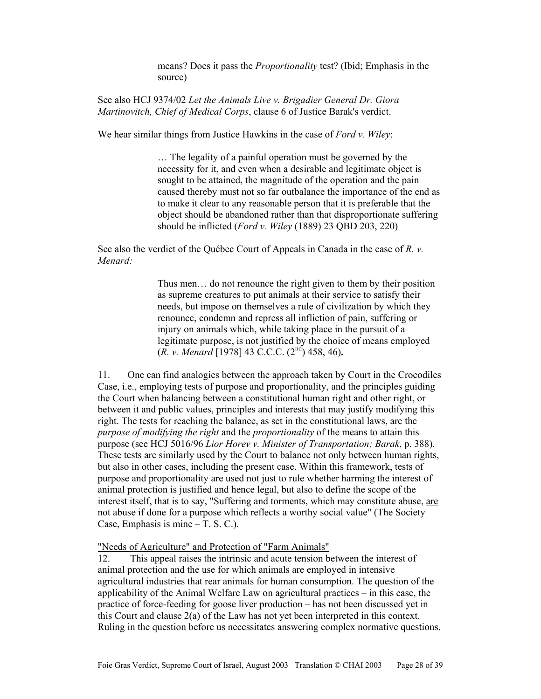means? Does it pass the *Proportionality* test? (Ibid; Emphasis in the source)

See also HCJ 9374/02 *Let the Animals Live v. Brigadier General Dr. Giora Martinovitch, Chief of Medical Corps*, clause 6 of Justice Barak's verdict.

We hear similar things from Justice Hawkins in the case of *Ford v. Wiley*:

… The legality of a painful operation must be governed by the necessity for it, and even when a desirable and legitimate object is sought to be attained, the magnitude of the operation and the pain caused thereby must not so far outbalance the importance of the end as to make it clear to any reasonable person that it is preferable that the object should be abandoned rather than that disproportionate suffering should be inflicted (*Ford v. Wiley* (1889) 23 QBD 203, 220)

See also the verdict of the Québec Court of Appeals in Canada in the case of *R. v. Menard:*

> Thus men… do not renounce the right given to them by their position as supreme creatures to put animals at their service to satisfy their needs, but impose on themselves a rule of civilization by which they renounce, condemn and repress all infliction of pain, suffering or injury on animals which, while taking place in the pursuit of a legitimate purpose, is not justified by the choice of means employed (*R. v. Menard* [1978] 43 C.C.C. (2nd) 458, 46)**.**

11. One can find analogies between the approach taken by Court in the Crocodiles Case, i.e., employing tests of purpose and proportionality, and the principles guiding the Court when balancing between a constitutional human right and other right, or between it and public values, principles and interests that may justify modifying this right. The tests for reaching the balance, as set in the constitutional laws, are the *purpose of modifying the right* and the *proportionality* of the means to attain this purpose (see HCJ 5016/96 *Lior Horev v. Minister of Transportation; Barak*, p. 388). These tests are similarly used by the Court to balance not only between human rights, but also in other cases, including the present case. Within this framework, tests of purpose and proportionality are used not just to rule whether harming the interest of animal protection is justified and hence legal, but also to define the scope of the interest itself, that is to say, "Suffering and torments, which may constitute abuse, are not abuse if done for a purpose which reflects a worthy social value" (The Society Case, Emphasis is mine – T. S. C.).

"Needs of Agriculture" and Protection of "Farm Animals"

12. This appeal raises the intrinsic and acute tension between the interest of animal protection and the use for which animals are employed in intensive agricultural industries that rear animals for human consumption. The question of the applicability of the Animal Welfare Law on agricultural practices – in this case, the practice of force-feeding for goose liver production – has not been discussed yet in this Court and clause 2(a) of the Law has not yet been interpreted in this context. Ruling in the question before us necessitates answering complex normative questions.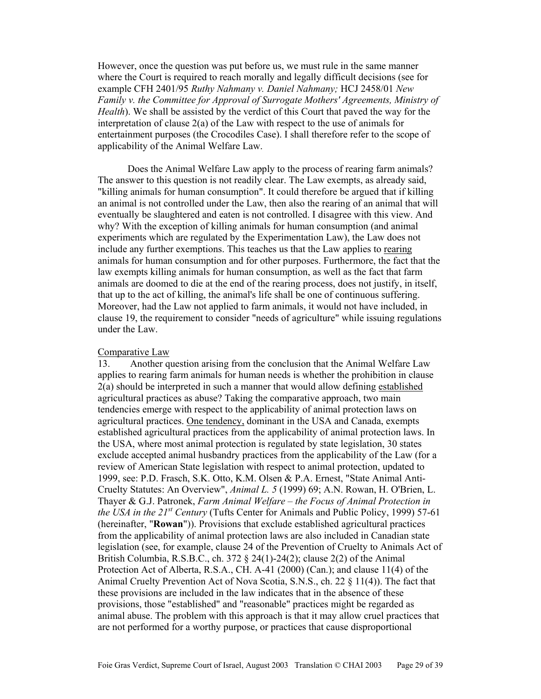However, once the question was put before us, we must rule in the same manner where the Court is required to reach morally and legally difficult decisions (see for example CFH 2401/95 *Ruthy Nahmany v. Daniel Nahmany;* HCJ 2458/01 *New Family v. the Committee for Approval of Surrogate Mothers' Agreements, Ministry of Health*). We shall be assisted by the verdict of this Court that paved the way for the interpretation of clause 2(a) of the Law with respect to the use of animals for entertainment purposes (the Crocodiles Case). I shall therefore refer to the scope of applicability of the Animal Welfare Law.

 Does the Animal Welfare Law apply to the process of rearing farm animals? The answer to this question is not readily clear. The Law exempts, as already said, "killing animals for human consumption". It could therefore be argued that if killing an animal is not controlled under the Law, then also the rearing of an animal that will eventually be slaughtered and eaten is not controlled. I disagree with this view. And why? With the exception of killing animals for human consumption (and animal experiments which are regulated by the Experimentation Law), the Law does not include any further exemptions. This teaches us that the Law applies to rearing animals for human consumption and for other purposes. Furthermore, the fact that the law exempts killing animals for human consumption, as well as the fact that farm animals are doomed to die at the end of the rearing process, does not justify, in itself, that up to the act of killing, the animal's life shall be one of continuous suffering. Moreover, had the Law not applied to farm animals, it would not have included, in clause 19, the requirement to consider "needs of agriculture" while issuing regulations under the Law.

#### Comparative Law

13. Another question arising from the conclusion that the Animal Welfare Law applies to rearing farm animals for human needs is whether the prohibition in clause 2(a) should be interpreted in such a manner that would allow defining established agricultural practices as abuse? Taking the comparative approach, two main tendencies emerge with respect to the applicability of animal protection laws on agricultural practices. One tendency, dominant in the USA and Canada, exempts established agricultural practices from the applicability of animal protection laws. In the USA, where most animal protection is regulated by state legislation, 30 states exclude accepted animal husbandry practices from the applicability of the Law (for a review of American State legislation with respect to animal protection, updated to 1999, see: P.D. Frasch, S.K. Otto, K.M. Olsen & P.A. Ernest, "State Animal Anti-Cruelty Statutes: An Overview", *Animal L. 5* (1999) 69; A.N. Rowan, H. O'Brien, L. Thayer & G.J. Patronek, *Farm Animal Welfare – the Focus of Animal Protection in the USA in the 21st Century* (Tufts Center for Animals and Public Policy, 1999) 57-61 (hereinafter, "**Rowan**")). Provisions that exclude established agricultural practices from the applicability of animal protection laws are also included in Canadian state legislation (see, for example, clause 24 of the Prevention of Cruelty to Animals Act of British Columbia, R.S.B.C., ch. 372 § 24(1)-24(2); clause 2(2) of the Animal Protection Act of Alberta, R.S.A., CH. A-41 (2000) (Can.); and clause 11(4) of the Animal Cruelty Prevention Act of Nova Scotia, S.N.S., ch. 22 § 11(4)). The fact that these provisions are included in the law indicates that in the absence of these provisions, those "established" and "reasonable" practices might be regarded as animal abuse. The problem with this approach is that it may allow cruel practices that are not performed for a worthy purpose, or practices that cause disproportional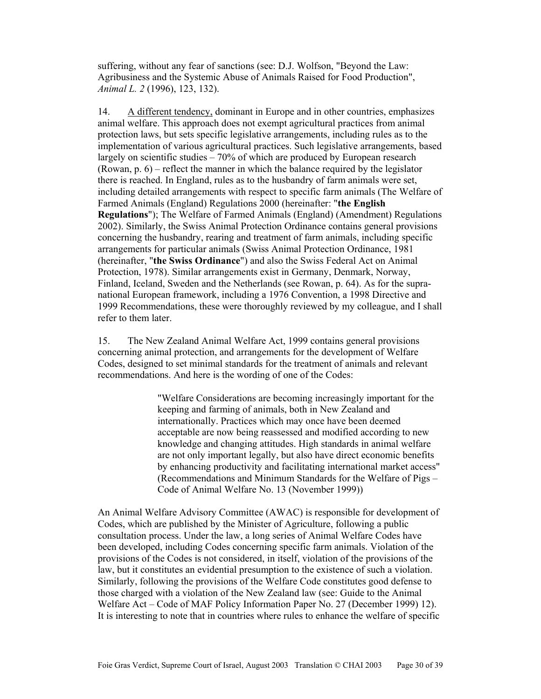suffering, without any fear of sanctions (see: D.J. Wolfson, "Beyond the Law: Agribusiness and the Systemic Abuse of Animals Raised for Food Production", *Animal L. 2* (1996), 123, 132).

14. A different tendency, dominant in Europe and in other countries, emphasizes animal welfare. This approach does not exempt agricultural practices from animal protection laws, but sets specific legislative arrangements, including rules as to the implementation of various agricultural practices. Such legislative arrangements, based largely on scientific studies – 70% of which are produced by European research (Rowan, p. 6) – reflect the manner in which the balance required by the legislator there is reached. In England, rules as to the husbandry of farm animals were set, including detailed arrangements with respect to specific farm animals (The Welfare of Farmed Animals (England) Regulations 2000 (hereinafter: "**the English Regulations**"); The Welfare of Farmed Animals (England) (Amendment) Regulations 2002). Similarly, the Swiss Animal Protection Ordinance contains general provisions concerning the husbandry, rearing and treatment of farm animals, including specific arrangements for particular animals (Swiss Animal Protection Ordinance, 1981 (hereinafter, "**the Swiss Ordinance**") and also the Swiss Federal Act on Animal Protection, 1978). Similar arrangements exist in Germany, Denmark, Norway, Finland, Iceland, Sweden and the Netherlands (see Rowan, p. 64). As for the supranational European framework, including a 1976 Convention, a 1998 Directive and 1999 Recommendations, these were thoroughly reviewed by my colleague, and I shall refer to them later.

15. The New Zealand Animal Welfare Act, 1999 contains general provisions concerning animal protection, and arrangements for the development of Welfare Codes, designed to set minimal standards for the treatment of animals and relevant recommendations. And here is the wording of one of the Codes:

> "Welfare Considerations are becoming increasingly important for the keeping and farming of animals, both in New Zealand and internationally. Practices which may once have been deemed acceptable are now being reassessed and modified according to new knowledge and changing attitudes. High standards in animal welfare are not only important legally, but also have direct economic benefits by enhancing productivity and facilitating international market access" (Recommendations and Minimum Standards for the Welfare of Pigs – Code of Animal Welfare No. 13 (November 1999))

An Animal Welfare Advisory Committee (AWAC) is responsible for development of Codes, which are published by the Minister of Agriculture, following a public consultation process. Under the law, a long series of Animal Welfare Codes have been developed, including Codes concerning specific farm animals. Violation of the provisions of the Codes is not considered, in itself, violation of the provisions of the law, but it constitutes an evidential presumption to the existence of such a violation. Similarly, following the provisions of the Welfare Code constitutes good defense to those charged with a violation of the New Zealand law (see: Guide to the Animal Welfare Act – Code of MAF Policy Information Paper No. 27 (December 1999) 12). It is interesting to note that in countries where rules to enhance the welfare of specific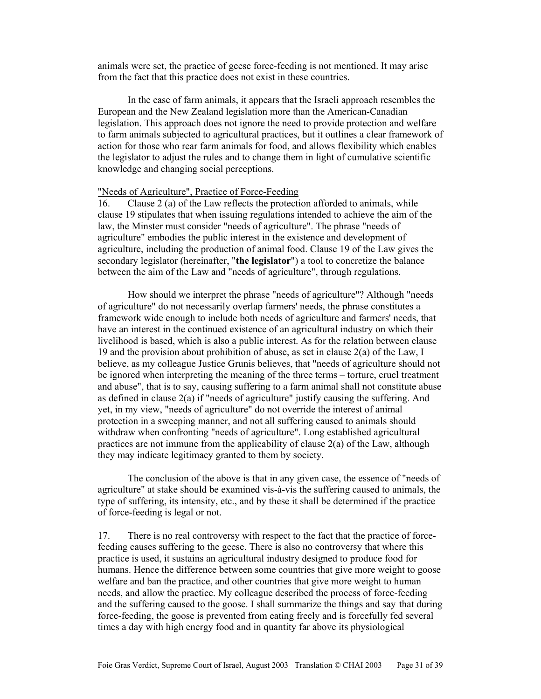animals were set, the practice of geese force-feeding is not mentioned. It may arise from the fact that this practice does not exist in these countries.

 In the case of farm animals, it appears that the Israeli approach resembles the European and the New Zealand legislation more than the American-Canadian legislation. This approach does not ignore the need to provide protection and welfare to farm animals subjected to agricultural practices, but it outlines a clear framework of action for those who rear farm animals for food, and allows flexibility which enables the legislator to adjust the rules and to change them in light of cumulative scientific knowledge and changing social perceptions.

## "Needs of Agriculture", Practice of Force-Feeding

16. Clause 2 (a) of the Law reflects the protection afforded to animals, while clause 19 stipulates that when issuing regulations intended to achieve the aim of the law, the Minster must consider "needs of agriculture". The phrase "needs of agriculture" embodies the public interest in the existence and development of agriculture, including the production of animal food. Clause 19 of the Law gives the secondary legislator (hereinafter, "**the legislator**") a tool to concretize the balance between the aim of the Law and "needs of agriculture", through regulations.

 How should we interpret the phrase "needs of agriculture"? Although "needs of agriculture" do not necessarily overlap farmers' needs, the phrase constitutes a framework wide enough to include both needs of agriculture and farmers' needs, that have an interest in the continued existence of an agricultural industry on which their livelihood is based, which is also a public interest. As for the relation between clause 19 and the provision about prohibition of abuse, as set in clause  $2(a)$  of the Law, I believe, as my colleague Justice Grunis believes, that "needs of agriculture should not be ignored when interpreting the meaning of the three terms – torture, cruel treatment and abuse", that is to say, causing suffering to a farm animal shall not constitute abuse as defined in clause 2(a) if "needs of agriculture" justify causing the suffering. And yet, in my view, "needs of agriculture" do not override the interest of animal protection in a sweeping manner, and not all suffering caused to animals should withdraw when confronting "needs of agriculture". Long established agricultural practices are not immune from the applicability of clause 2(a) of the Law, although they may indicate legitimacy granted to them by society.

 The conclusion of the above is that in any given case, the essence of "needs of agriculture" at stake should be examined vis-à-vis the suffering caused to animals, the type of suffering, its intensity, etc., and by these it shall be determined if the practice of force-feeding is legal or not.

17. There is no real controversy with respect to the fact that the practice of forcefeeding causes suffering to the geese. There is also no controversy that where this practice is used, it sustains an agricultural industry designed to produce food for humans. Hence the difference between some countries that give more weight to goose welfare and ban the practice, and other countries that give more weight to human needs, and allow the practice. My colleague described the process of force-feeding and the suffering caused to the goose. I shall summarize the things and say that during force-feeding, the goose is prevented from eating freely and is forcefully fed several times a day with high energy food and in quantity far above its physiological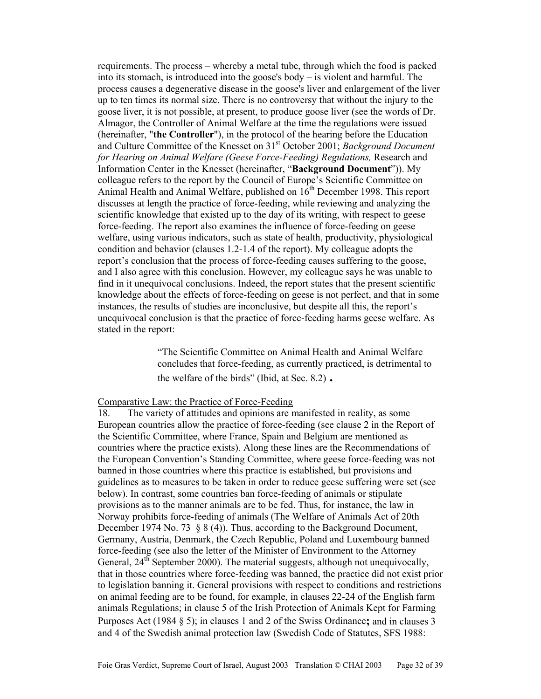requirements. The process – whereby a metal tube, through which the food is packed into its stomach, is introduced into the goose's body – is violent and harmful. The process causes a degenerative disease in the goose's liver and enlargement of the liver up to ten times its normal size. There is no controversy that without the injury to the goose liver, it is not possible, at present, to produce goose liver (see the words of Dr. Almagor, the Controller of Animal Welfare at the time the regulations were issued (hereinafter, "**the Controller**"), in the protocol of the hearing before the Education and Culture Committee of the Knesset on 31st October 2001; *Background Document for Hearing on Animal Welfare (Geese Force-Feeding) Regulations,* Research and Information Center in the Knesset (hereinafter, "**Background Document**")). My colleague refers to the report by the Council of Europe's Scientific Committee on Animal Health and Animal Welfare, published on  $16<sup>th</sup>$  December 1998. This report discusses at length the practice of force-feeding, while reviewing and analyzing the scientific knowledge that existed up to the day of its writing, with respect to geese force-feeding. The report also examines the influence of force-feeding on geese welfare, using various indicators, such as state of health, productivity, physiological condition and behavior (clauses 1.2-1.4 of the report). My colleague adopts the report's conclusion that the process of force-feeding causes suffering to the goose, and I also agree with this conclusion. However, my colleague says he was unable to find in it unequivocal conclusions. Indeed, the report states that the present scientific knowledge about the effects of force-feeding on geese is not perfect, and that in some instances, the results of studies are inconclusive, but despite all this, the report's unequivocal conclusion is that the practice of force-feeding harms geese welfare. As stated in the report:

> "The Scientific Committee on Animal Health and Animal Welfare concludes that force-feeding, as currently practiced, is detrimental to the welfare of the birds" (Ibid, at Sec. 8.2) **.**

#### Comparative Law: the Practice of Force-Feeding

18. The variety of attitudes and opinions are manifested in reality, as some European countries allow the practice of force-feeding (see clause 2 in the Report of the Scientific Committee, where France, Spain and Belgium are mentioned as countries where the practice exists). Along these lines are the Recommendations of the European Convention's Standing Committee, where geese force-feeding was not banned in those countries where this practice is established, but provisions and guidelines as to measures to be taken in order to reduce geese suffering were set (see below). In contrast, some countries ban force-feeding of animals or stipulate provisions as to the manner animals are to be fed. Thus, for instance, the law in Norway prohibits force-feeding of animals (The Welfare of Animals Act of 20th December 1974 No. 73 § 8 (4)). Thus, according to the Background Document, Germany, Austria, Denmark, the Czech Republic, Poland and Luxembourg banned force-feeding (see also the letter of the Minister of Environment to the Attorney General,  $24<sup>th</sup>$  September 2000). The material suggests, although not unequivocally, that in those countries where force-feeding was banned, the practice did not exist prior to legislation banning it. General provisions with respect to conditions and restrictions on animal feeding are to be found, for example, in clauses 22-24 of the English farm animals Regulations; in clause 5 of the Irish Protection of Animals Kept for Farming Purposes Act (1984 § 5); in clauses 1 and 2 of the Swiss Ordinance**;** and in clauses 3 and 4 of the Swedish animal protection law (Swedish Code of Statutes, SFS 1988: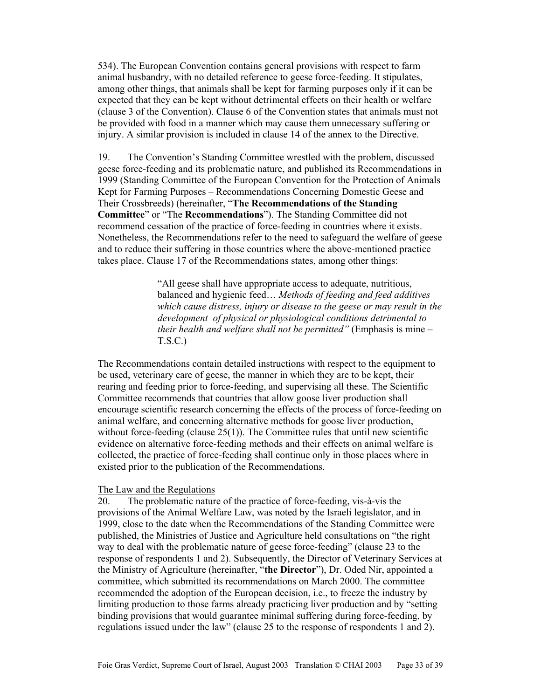534). The European Convention contains general provisions with respect to farm animal husbandry, with no detailed reference to geese force-feeding. It stipulates, among other things, that animals shall be kept for farming purposes only if it can be expected that they can be kept without detrimental effects on their health or welfare (clause 3 of the Convention). Clause 6 of the Convention states that animals must not be provided with food in a manner which may cause them unnecessary suffering or injury. A similar provision is included in clause 14 of the annex to the Directive.

19. The Convention's Standing Committee wrestled with the problem, discussed geese force-feeding and its problematic nature, and published its Recommendations in 1999 (Standing Committee of the European Convention for the Protection of Animals Kept for Farming Purposes – Recommendations Concerning Domestic Geese and Their Crossbreeds) (hereinafter, "**The Recommendations of the Standing Committee**" or "The **Recommendations**"). The Standing Committee did not recommend cessation of the practice of force-feeding in countries where it exists. Nonetheless, the Recommendations refer to the need to safeguard the welfare of geese and to reduce their suffering in those countries where the above-mentioned practice takes place. Clause 17 of the Recommendations states, among other things:

> "All geese shall have appropriate access to adequate, nutritious, balanced and hygienic feed… *Methods of feeding and feed additives which cause distress, injury or disease to the geese or may result in the development of physical or physiological conditions detrimental to their health and welfare shall not be permitted"* (Emphasis is mine – T.S.C.)

The Recommendations contain detailed instructions with respect to the equipment to be used, veterinary care of geese, the manner in which they are to be kept, their rearing and feeding prior to force-feeding, and supervising all these. The Scientific Committee recommends that countries that allow goose liver production shall encourage scientific research concerning the effects of the process of force-feeding on animal welfare, and concerning alternative methods for goose liver production, without force-feeding (clause  $25(1)$ ). The Committee rules that until new scientific evidence on alternative force-feeding methods and their effects on animal welfare is collected, the practice of force-feeding shall continue only in those places where in existed prior to the publication of the Recommendations.

## The Law and the Regulations

20. The problematic nature of the practice of force-feeding, vis-à-vis the provisions of the Animal Welfare Law, was noted by the Israeli legislator, and in 1999, close to the date when the Recommendations of the Standing Committee were published, the Ministries of Justice and Agriculture held consultations on "the right way to deal with the problematic nature of geese force-feeding" (clause 23 to the response of respondents 1 and 2). Subsequently, the Director of Veterinary Services at the Ministry of Agriculture (hereinafter, "**the Director**"), Dr. Oded Nir, appointed a committee, which submitted its recommendations on March 2000. The committee recommended the adoption of the European decision, i.e., to freeze the industry by limiting production to those farms already practicing liver production and by "setting binding provisions that would guarantee minimal suffering during force-feeding, by regulations issued under the law" (clause 25 to the response of respondents 1 and 2).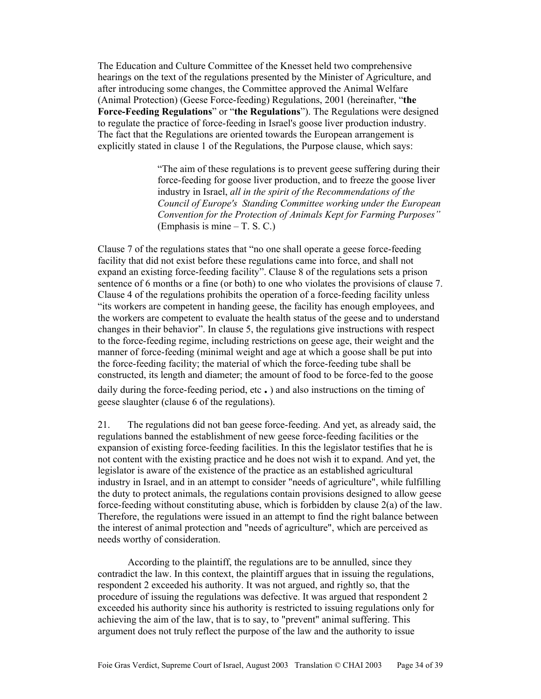The Education and Culture Committee of the Knesset held two comprehensive hearings on the text of the regulations presented by the Minister of Agriculture, and after introducing some changes, the Committee approved the Animal Welfare (Animal Protection) (Geese Force-feeding) Regulations, 2001 (hereinafter, "**the Force-Feeding Regulations**" or "**the Regulations**"). The Regulations were designed to regulate the practice of force-feeding in Israel's goose liver production industry. The fact that the Regulations are oriented towards the European arrangement is explicitly stated in clause 1 of the Regulations, the Purpose clause, which says:

> "The aim of these regulations is to prevent geese suffering during their force-feeding for goose liver production, and to freeze the goose liver industry in Israel, *all in the spirit of the Recommendations of the Council of Europe's Standing Committee working under the European Convention for the Protection of Animals Kept for Farming Purposes"*  (Emphasis is mine – T. S. C.)

Clause 7 of the regulations states that "no one shall operate a geese force-feeding facility that did not exist before these regulations came into force, and shall not expand an existing force-feeding facility". Clause 8 of the regulations sets a prison sentence of 6 months or a fine (or both) to one who violates the provisions of clause 7. Clause 4 of the regulations prohibits the operation of a force-feeding facility unless "its workers are competent in handing geese, the facility has enough employees, and the workers are competent to evaluate the health status of the geese and to understand changes in their behavior". In clause 5, the regulations give instructions with respect to the force-feeding regime, including restrictions on geese age, their weight and the manner of force-feeding (minimal weight and age at which a goose shall be put into the force-feeding facility; the material of which the force-feeding tube shall be constructed, its length and diameter; the amount of food to be force-fed to the goose daily during the force-feeding period, etc **.** ) and also instructions on the timing of geese slaughter (clause 6 of the regulations).

21. The regulations did not ban geese force-feeding. And yet, as already said, the regulations banned the establishment of new geese force-feeding facilities or the expansion of existing force-feeding facilities. In this the legislator testifies that he is not content with the existing practice and he does not wish it to expand. And yet, the legislator is aware of the existence of the practice as an established agricultural industry in Israel, and in an attempt to consider "needs of agriculture", while fulfilling the duty to protect animals, the regulations contain provisions designed to allow geese force-feeding without constituting abuse, which is forbidden by clause 2(a) of the law. Therefore, the regulations were issued in an attempt to find the right balance between the interest of animal protection and "needs of agriculture", which are perceived as needs worthy of consideration.

 According to the plaintiff, the regulations are to be annulled, since they contradict the law. In this context, the plaintiff argues that in issuing the regulations, respondent 2 exceeded his authority. It was not argued, and rightly so, that the procedure of issuing the regulations was defective. It was argued that respondent 2 exceeded his authority since his authority is restricted to issuing regulations only for achieving the aim of the law, that is to say, to "prevent" animal suffering. This argument does not truly reflect the purpose of the law and the authority to issue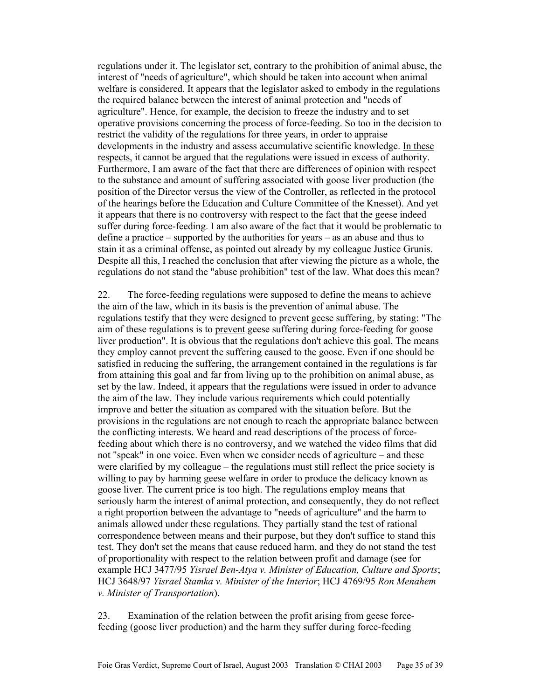regulations under it. The legislator set, contrary to the prohibition of animal abuse, the interest of "needs of agriculture", which should be taken into account when animal welfare is considered. It appears that the legislator asked to embody in the regulations the required balance between the interest of animal protection and "needs of agriculture". Hence, for example, the decision to freeze the industry and to set operative provisions concerning the process of force-feeding. So too in the decision to restrict the validity of the regulations for three years, in order to appraise developments in the industry and assess accumulative scientific knowledge. In these respects, it cannot be argued that the regulations were issued in excess of authority. Furthermore, I am aware of the fact that there are differences of opinion with respect to the substance and amount of suffering associated with goose liver production (the position of the Director versus the view of the Controller, as reflected in the protocol of the hearings before the Education and Culture Committee of the Knesset). And yet it appears that there is no controversy with respect to the fact that the geese indeed suffer during force-feeding. I am also aware of the fact that it would be problematic to define a practice – supported by the authorities for years – as an abuse and thus to stain it as a criminal offense, as pointed out already by my colleague Justice Grunis. Despite all this, I reached the conclusion that after viewing the picture as a whole, the regulations do not stand the "abuse prohibition" test of the law. What does this mean?

22. The force-feeding regulations were supposed to define the means to achieve the aim of the law, which in its basis is the prevention of animal abuse. The regulations testify that they were designed to prevent geese suffering, by stating: "The aim of these regulations is to prevent geese suffering during force-feeding for goose liver production". It is obvious that the regulations don't achieve this goal. The means they employ cannot prevent the suffering caused to the goose. Even if one should be satisfied in reducing the suffering, the arrangement contained in the regulations is far from attaining this goal and far from living up to the prohibition on animal abuse, as set by the law. Indeed, it appears that the regulations were issued in order to advance the aim of the law. They include various requirements which could potentially improve and better the situation as compared with the situation before. But the provisions in the regulations are not enough to reach the appropriate balance between the conflicting interests. We heard and read descriptions of the process of forcefeeding about which there is no controversy, and we watched the video films that did not "speak" in one voice. Even when we consider needs of agriculture – and these were clarified by my colleague – the regulations must still reflect the price society is willing to pay by harming geese welfare in order to produce the delicacy known as goose liver. The current price is too high. The regulations employ means that seriously harm the interest of animal protection, and consequently, they do not reflect a right proportion between the advantage to "needs of agriculture" and the harm to animals allowed under these regulations. They partially stand the test of rational correspondence between means and their purpose, but they don't suffice to stand this test. They don't set the means that cause reduced harm, and they do not stand the test of proportionality with respect to the relation between profit and damage (see for example HCJ 3477/95 *Yisrael Ben-Atya v. Minister of Education, Culture and Sports*; HCJ 3648/97 *Yisrael Stamka v. Minister of the Interior*; HCJ 4769/95 *Ron Menahem v. Minister of Transportation*).

23. Examination of the relation between the profit arising from geese forcefeeding (goose liver production) and the harm they suffer during force-feeding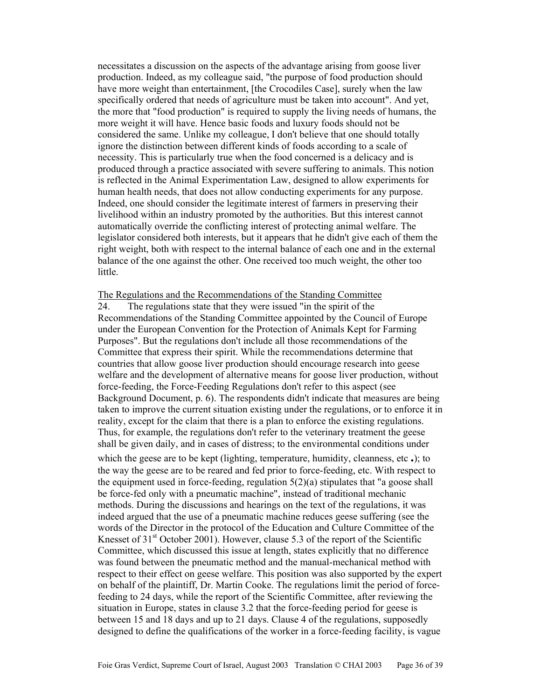necessitates a discussion on the aspects of the advantage arising from goose liver production. Indeed, as my colleague said, "the purpose of food production should have more weight than entertainment, [the Crocodiles Case], surely when the law specifically ordered that needs of agriculture must be taken into account". And yet, the more that "food production" is required to supply the living needs of humans, the more weight it will have. Hence basic foods and luxury foods should not be considered the same. Unlike my colleague, I don't believe that one should totally ignore the distinction between different kinds of foods according to a scale of necessity. This is particularly true when the food concerned is a delicacy and is produced through a practice associated with severe suffering to animals. This notion is reflected in the Animal Experimentation Law, designed to allow experiments for human health needs, that does not allow conducting experiments for any purpose. Indeed, one should consider the legitimate interest of farmers in preserving their livelihood within an industry promoted by the authorities. But this interest cannot automatically override the conflicting interest of protecting animal welfare. The legislator considered both interests, but it appears that he didn't give each of them the right weight, both with respect to the internal balance of each one and in the external balance of the one against the other. One received too much weight, the other too little.

#### The Regulations and the Recommendations of the Standing Committee

24. The regulations state that they were issued "in the spirit of the Recommendations of the Standing Committee appointed by the Council of Europe under the European Convention for the Protection of Animals Kept for Farming Purposes". But the regulations don't include all those recommendations of the Committee that express their spirit. While the recommendations determine that countries that allow goose liver production should encourage research into geese welfare and the development of alternative means for goose liver production, without force-feeding, the Force-Feeding Regulations don't refer to this aspect (see Background Document, p. 6). The respondents didn't indicate that measures are being taken to improve the current situation existing under the regulations, or to enforce it in reality, except for the claim that there is a plan to enforce the existing regulations. Thus, for example, the regulations don't refer to the veterinary treatment the geese shall be given daily, and in cases of distress; to the environmental conditions under

which the geese are to be kept (lighting, temperature, humidity, cleanness, etc **.**); to the way the geese are to be reared and fed prior to force-feeding, etc. With respect to the equipment used in force-feeding, regulation  $5(2)(a)$  stipulates that "a goose shall be force-fed only with a pneumatic machine", instead of traditional mechanic methods. During the discussions and hearings on the text of the regulations, it was indeed argued that the use of a pneumatic machine reduces geese suffering (see the words of the Director in the protocol of the Education and Culture Committee of the Knesset of  $31<sup>st</sup>$  October 2001). However, clause 5.3 of the report of the Scientific Committee, which discussed this issue at length, states explicitly that no difference was found between the pneumatic method and the manual-mechanical method with respect to their effect on geese welfare. This position was also supported by the expert on behalf of the plaintiff, Dr. Martin Cooke. The regulations limit the period of forcefeeding to 24 days, while the report of the Scientific Committee, after reviewing the situation in Europe, states in clause 3.2 that the force-feeding period for geese is between 15 and 18 days and up to 21 days. Clause 4 of the regulations, supposedly designed to define the qualifications of the worker in a force-feeding facility, is vague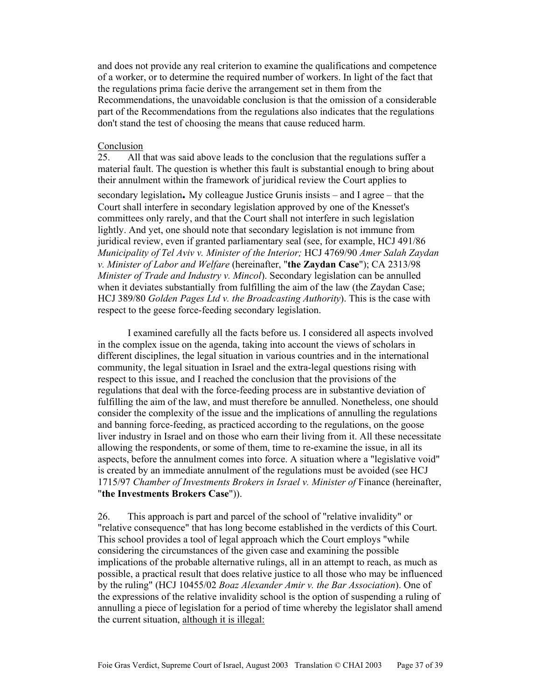and does not provide any real criterion to examine the qualifications and competence of a worker, or to determine the required number of workers. In light of the fact that the regulations prima facie derive the arrangement set in them from the Recommendations, the unavoidable conclusion is that the omission of a considerable part of the Recommendations from the regulations also indicates that the regulations don't stand the test of choosing the means that cause reduced harm.

## Conclusion

25. All that was said above leads to the conclusion that the regulations suffer a material fault. The question is whether this fault is substantial enough to bring about their annulment within the framework of juridical review the Court applies to

secondary legislation**.** My colleague Justice Grunis insists – and I agree – that the Court shall interfere in secondary legislation approved by one of the Knesset's committees only rarely, and that the Court shall not interfere in such legislation lightly. And yet, one should note that secondary legislation is not immune from juridical review, even if granted parliamentary seal (see, for example, HCJ 491/86 *Municipality of Tel Aviv v. Minister of the Interior;* HCJ 4769/90 *Amer Salah Zaydan v. Minister of Labor and Welfare* (hereinafter, "**the Zaydan Case**"); CA 2313/98 *Minister of Trade and Industry v. Mincol*). Secondary legislation can be annulled when it deviates substantially from fulfilling the aim of the law (the Zaydan Case; HCJ 389/80 *Golden Pages Ltd v. the Broadcasting Authority*). This is the case with respect to the geese force-feeding secondary legislation.

 I examined carefully all the facts before us. I considered all aspects involved in the complex issue on the agenda, taking into account the views of scholars in different disciplines, the legal situation in various countries and in the international community, the legal situation in Israel and the extra-legal questions rising with respect to this issue, and I reached the conclusion that the provisions of the regulations that deal with the force-feeding process are in substantive deviation of fulfilling the aim of the law, and must therefore be annulled. Nonetheless, one should consider the complexity of the issue and the implications of annulling the regulations and banning force-feeding, as practiced according to the regulations, on the goose liver industry in Israel and on those who earn their living from it. All these necessitate allowing the respondents, or some of them, time to re-examine the issue, in all its aspects, before the annulment comes into force. A situation where a "legislative void" is created by an immediate annulment of the regulations must be avoided (see HCJ 1715/97 *Chamber of Investments Brokers in Israel v. Minister of* Finance (hereinafter, "**the Investments Brokers Case**")).

26. This approach is part and parcel of the school of "relative invalidity" or "relative consequence" that has long become established in the verdicts of this Court. This school provides a tool of legal approach which the Court employs "while considering the circumstances of the given case and examining the possible implications of the probable alternative rulings, all in an attempt to reach, as much as possible, a practical result that does relative justice to all those who may be influenced by the ruling" (HCJ 10455/02 *Boaz Alexander Amir v. the Bar Association*). One of the expressions of the relative invalidity school is the option of suspending a ruling of annulling a piece of legislation for a period of time whereby the legislator shall amend the current situation, although it is illegal: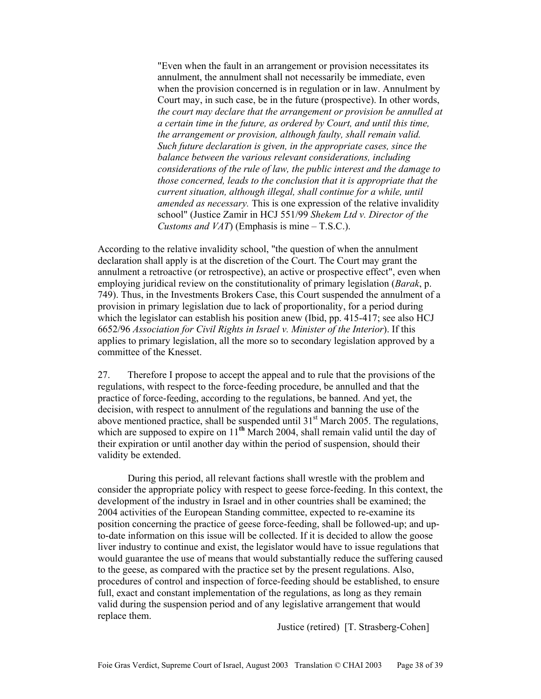"Even when the fault in an arrangement or provision necessitates its annulment, the annulment shall not necessarily be immediate, even when the provision concerned is in regulation or in law. Annulment by Court may, in such case, be in the future (prospective). In other words, *the court may declare that the arrangement or provision be annulled at a certain time in the future, as ordered by Court, and until this time, the arrangement or provision, although faulty, shall remain valid. Such future declaration is given, in the appropriate cases, since the balance between the various relevant considerations, including considerations of the rule of law, the public interest and the damage to those concerned, leads to the conclusion that it is appropriate that the current situation, although illegal, shall continue for a while, until amended as necessary.* This is one expression of the relative invalidity school" (Justice Zamir in HCJ 551/99 *Shekem Ltd v. Director of the Customs and VAT*) (Emphasis is mine – T.S.C.).

According to the relative invalidity school, "the question of when the annulment declaration shall apply is at the discretion of the Court. The Court may grant the annulment a retroactive (or retrospective), an active or prospective effect", even when employing juridical review on the constitutionality of primary legislation (*Barak*, p. 749). Thus, in the Investments Brokers Case, this Court suspended the annulment of a provision in primary legislation due to lack of proportionality, for a period during which the legislator can establish his position anew (Ibid, pp. 415-417; see also HCJ 6652/96 *Association for Civil Rights in Israel v. Minister of the Interior*). If this applies to primary legislation, all the more so to secondary legislation approved by a committee of the Knesset.

27. Therefore I propose to accept the appeal and to rule that the provisions of the regulations, with respect to the force-feeding procedure, be annulled and that the practice of force-feeding, according to the regulations, be banned. And yet, the decision, with respect to annulment of the regulations and banning the use of the above mentioned practice, shall be suspended until  $31<sup>st</sup>$  March 2005. The regulations, which are supposed to expire on 11<sup>th</sup> March 2004, shall remain valid until the day of their expiration or until another day within the period of suspension, should their validity be extended.

 During this period, all relevant factions shall wrestle with the problem and consider the appropriate policy with respect to geese force-feeding. In this context, the development of the industry in Israel and in other countries shall be examined; the 2004 activities of the European Standing committee, expected to re-examine its position concerning the practice of geese force-feeding, shall be followed-up; and upto-date information on this issue will be collected. If it is decided to allow the goose liver industry to continue and exist, the legislator would have to issue regulations that would guarantee the use of means that would substantially reduce the suffering caused to the geese, as compared with the practice set by the present regulations. Also, procedures of control and inspection of force-feeding should be established, to ensure full, exact and constant implementation of the regulations, as long as they remain valid during the suspension period and of any legislative arrangement that would replace them.

Justice (retired) [T. Strasberg-Cohen]